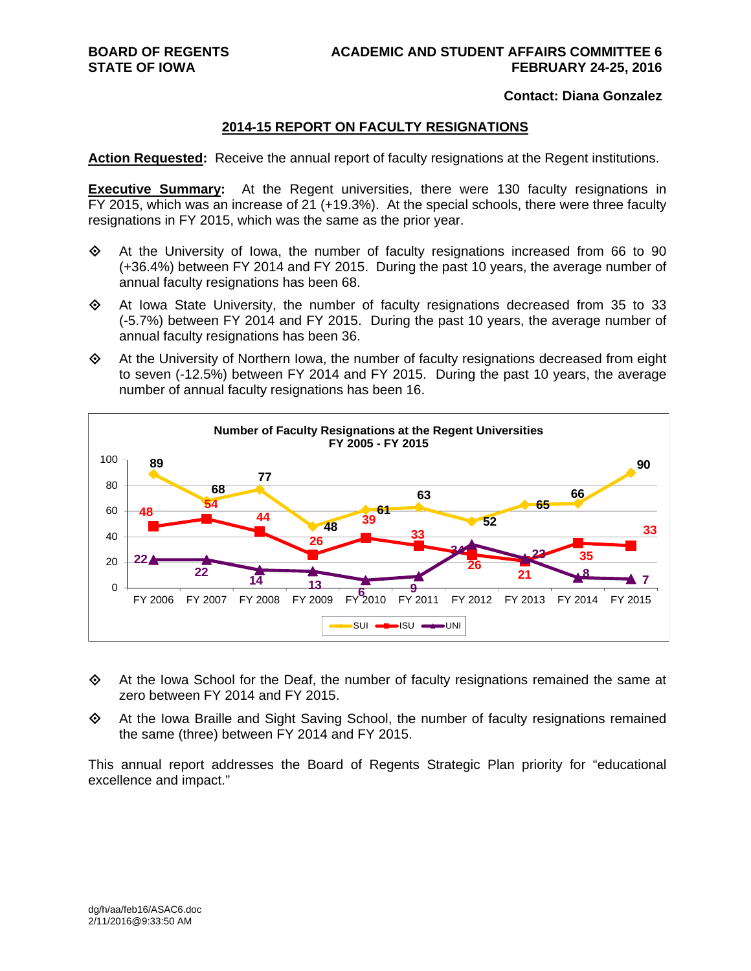#### **Contact: Diana Gonzalez**

#### **2014-15 REPORT ON FACULTY RESIGNATIONS**

**Action Requested:** Receive the annual report of faculty resignations at the Regent institutions.

**Executive Summary:** At the Regent universities, there were 130 faculty resignations in FY 2015, which was an increase of 21 (+19.3%). At the special schools, there were three faculty resignations in FY 2015, which was the same as the prior year.

- $\Leftrightarrow$  At the University of Iowa, the number of faculty resignations increased from 66 to 90 (+36.4%) between FY 2014 and FY 2015. During the past 10 years, the average number of annual faculty resignations has been 68.
- $\Diamond$  At Iowa State University, the number of faculty resignations decreased from 35 to 33 (-5.7%) between FY 2014 and FY 2015. During the past 10 years, the average number of annual faculty resignations has been 36.
- $\Leftrightarrow$  At the University of Northern Iowa, the number of faculty resignations decreased from eight to seven (-12.5%) between FY 2014 and FY 2015. During the past 10 years, the average number of annual faculty resignations has been 16.



- At the Iowa School for the Deaf, the number of faculty resignations remained the same at zero between FY 2014 and FY 2015.
- $\Leftrightarrow$  At the Iowa Braille and Sight Saving School, the number of faculty resignations remained the same (three) between FY 2014 and FY 2015.

This annual report addresses the Board of Regents Strategic Plan priority for "educational excellence and impact."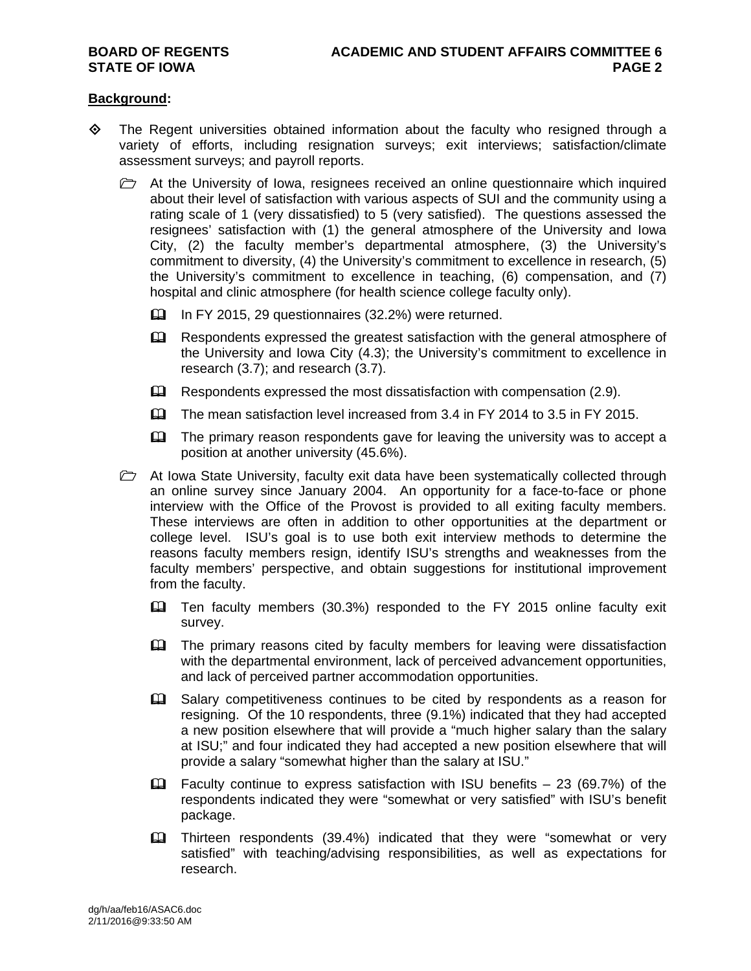#### **Background:**

- $\diamond$  The Regent universities obtained information about the faculty who resigned through a variety of efforts, including resignation surveys; exit interviews; satisfaction/climate assessment surveys; and payroll reports.
	- $\triangleright$  At the University of Iowa, resignees received an online questionnaire which inquired about their level of satisfaction with various aspects of SUI and the community using a rating scale of 1 (very dissatisfied) to 5 (very satisfied). The questions assessed the resignees' satisfaction with (1) the general atmosphere of the University and Iowa City, (2) the faculty member's departmental atmosphere, (3) the University's commitment to diversity, (4) the University's commitment to excellence in research, (5) the University's commitment to excellence in teaching, (6) compensation, and (7) hospital and clinic atmosphere (for health science college faculty only).
		- In FY 2015, 29 questionnaires (32.2%) were returned.
		- Eu Respondents expressed the greatest satisfaction with the general atmosphere of the University and Iowa City (4.3); the University's commitment to excellence in research (3.7); and research (3.7).
		- $\Box$  Respondents expressed the most dissatisfaction with compensation (2.9).
		- The mean satisfaction level increased from 3.4 in FY 2014 to 3.5 in FY 2015.
		- **Example 1** The primary reason respondents gave for leaving the university was to accept a position at another university (45.6%).
	- $\triangleright$  At Iowa State University, faculty exit data have been systematically collected through an online survey since January 2004. An opportunity for a face-to-face or phone interview with the Office of the Provost is provided to all exiting faculty members. These interviews are often in addition to other opportunities at the department or college level. ISU's goal is to use both exit interview methods to determine the reasons faculty members resign, identify ISU's strengths and weaknesses from the faculty members' perspective, and obtain suggestions for institutional improvement from the faculty.
		- Ten faculty members (30.3%) responded to the FY 2015 online faculty exit survey.
		- The primary reasons cited by faculty members for leaving were dissatisfaction with the departmental environment, lack of perceived advancement opportunities, and lack of perceived partner accommodation opportunities.
		- Salary competitiveness continues to be cited by respondents as a reason for resigning. Of the 10 respondents, three (9.1%) indicated that they had accepted a new position elsewhere that will provide a "much higher salary than the salary at ISU;" and four indicated they had accepted a new position elsewhere that will provide a salary "somewhat higher than the salary at ISU."
		- $\Box$  Faculty continue to express satisfaction with ISU benefits 23 (69.7%) of the respondents indicated they were "somewhat or very satisfied" with ISU's benefit package.
		- Thirteen respondents (39.4%) indicated that they were "somewhat or very satisfied" with teaching/advising responsibilities, as well as expectations for research.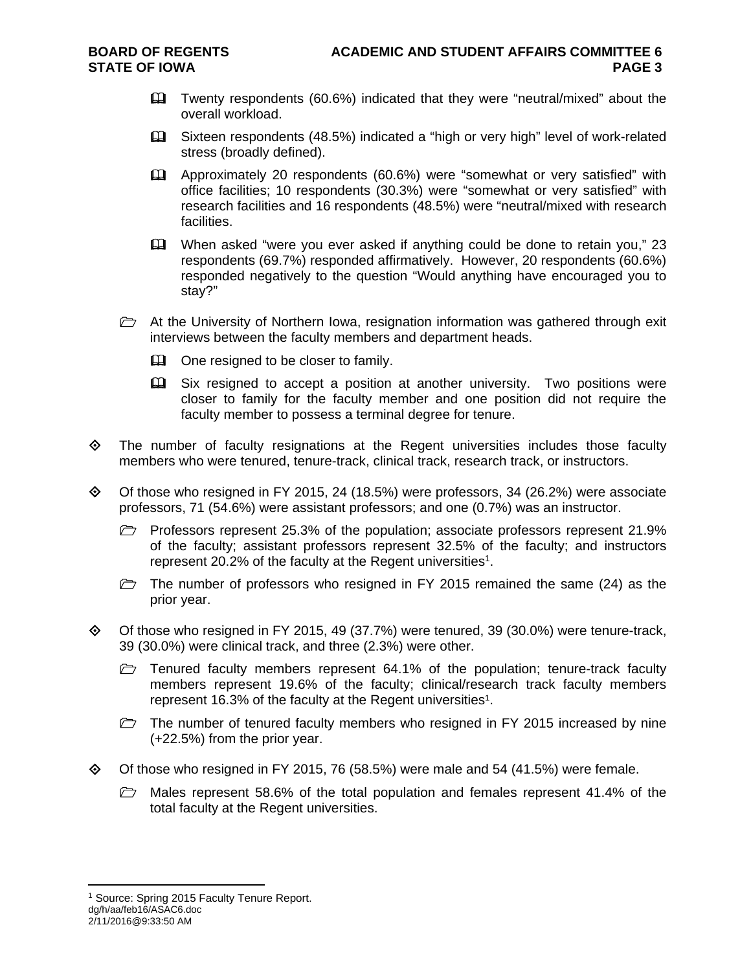- Twenty respondents (60.6%) indicated that they were "neutral/mixed" about the overall workload.
- Sixteen respondents (48.5%) indicated a "high or very high" level of work-related stress (broadly defined).
- Approximately 20 respondents (60.6%) were "somewhat or very satisfied" with office facilities; 10 respondents (30.3%) were "somewhat or very satisfied" with research facilities and 16 respondents (48.5%) were "neutral/mixed with research facilities.
- When asked "were you ever asked if anything could be done to retain you," 23 respondents (69.7%) responded affirmatively. However, 20 respondents (60.6%) responded negatively to the question "Would anything have encouraged you to stay?"
- $\triangleright$  At the University of Northern Iowa, resignation information was gathered through exit interviews between the faculty members and department heads.
	- $\mathbf{\Omega}$  One resigned to be closer to family.
	- Six resigned to accept a position at another university. Two positions were closer to family for the faculty member and one position did not require the faculty member to possess a terminal degree for tenure.
- $\Leftrightarrow$  The number of faculty resignations at the Regent universities includes those faculty members who were tenured, tenure-track, clinical track, research track, or instructors.
- Of those who resigned in FY 2015, 24 (18.5%) were professors, 34 (26.2%) were associate professors, 71 (54.6%) were assistant professors; and one (0.7%) was an instructor.
	- $\triangleright$  Professors represent 25.3% of the population; associate professors represent 21.9% of the faculty; assistant professors represent 32.5% of the faculty; and instructors represent 20.2% of the faculty at the Regent universities<sup>1</sup>.
	- $\triangleright$  The number of professors who resigned in FY 2015 remained the same (24) as the prior year.
- $\diamond$  Of those who resigned in FY 2015, 49 (37.7%) were tenured, 39 (30.0%) were tenure-track, 39 (30.0%) were clinical track, and three (2.3%) were other.
	- $\triangleright$  Tenured faculty members represent 64.1% of the population; tenure-track faculty members represent 19.6% of the faculty; clinical/research track faculty members represent 16.3% of the faculty at the Regent universities<sup>1</sup>.
	- $\triangleright$  The number of tenured faculty members who resigned in FY 2015 increased by nine (+22.5%) from the prior year.
- $\diamond$  Of those who resigned in FY 2015, 76 (58.5%) were male and 54 (41.5%) were female.
	- $\triangleright$  Males represent 58.6% of the total population and females represent 41.4% of the total faculty at the Regent universities.

dg/h/aa/feb16/ASAC6.doc  $\overline{a}$ <sup>1</sup> Source: Spring 2015 Faculty Tenure Report.

<sup>2/11/2016@9:33:50</sup> AM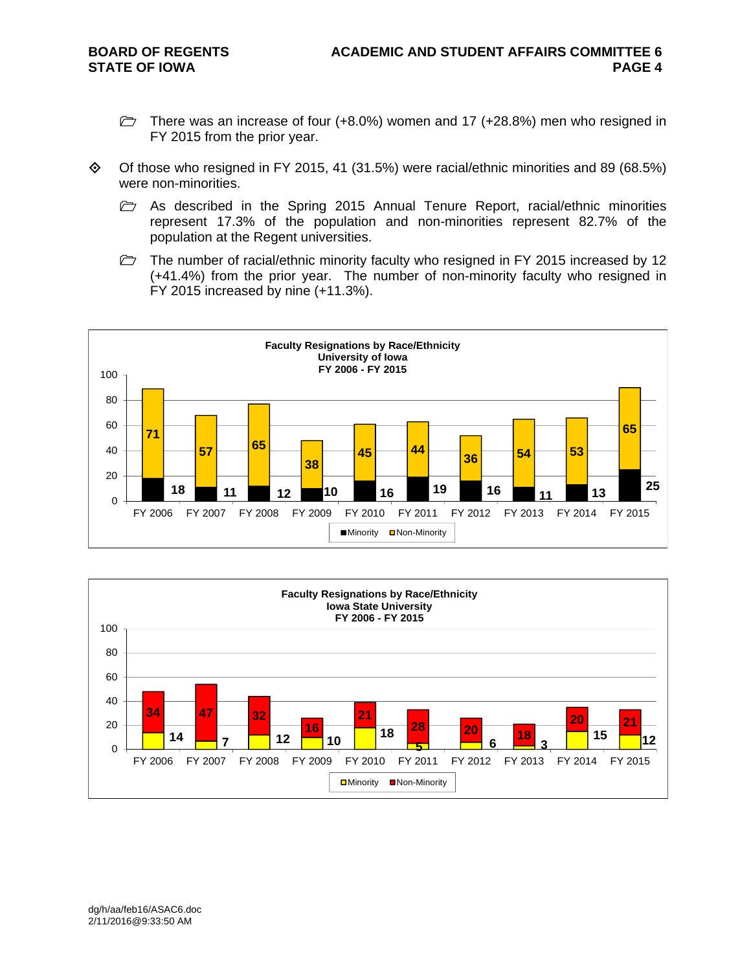- $\triangleright$  There was an increase of four (+8.0%) women and 17 (+28.8%) men who resigned in FY 2015 from the prior year.
- $\Diamond$  Of those who resigned in FY 2015, 41 (31.5%) were racial/ethnic minorities and 89 (68.5%) were non-minorities.
	- $\triangleright$  As described in the Spring 2015 Annual Tenure Report, racial/ethnic minorities represent 17.3% of the population and non-minorities represent 82.7% of the population at the Regent universities.
	- $\triangleright$  The number of racial/ethnic minority faculty who resigned in FY 2015 increased by 12 (+41.4%) from the prior year. The number of non-minority faculty who resigned in FY 2015 increased by nine (+11.3%).



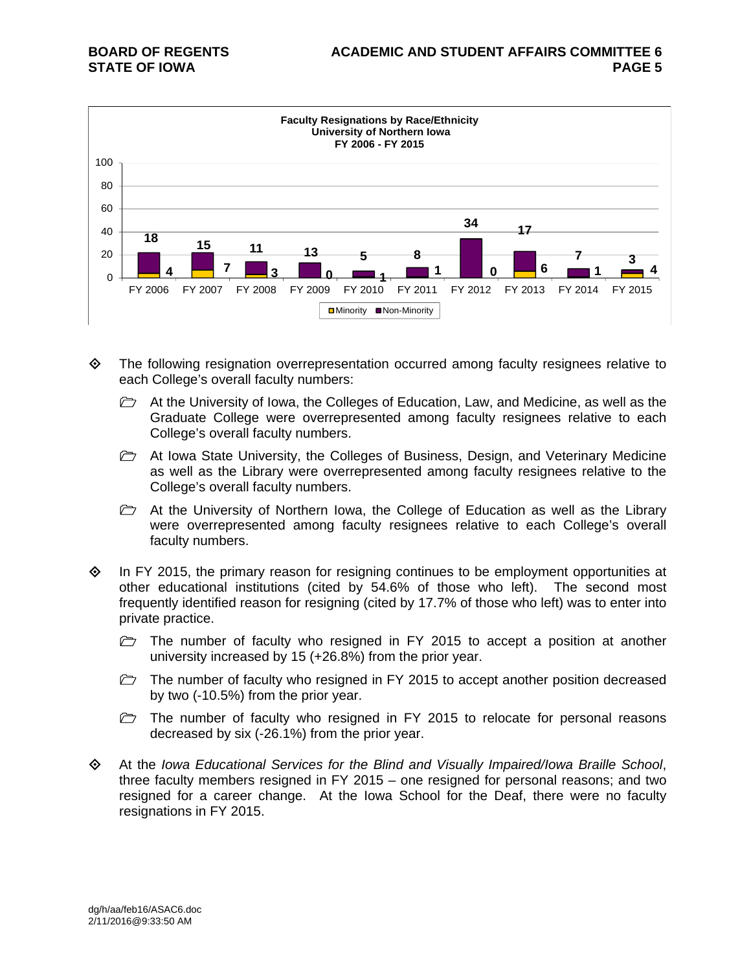

- The following resignation overrepresentation occurred among faculty resignees relative to each College's overall faculty numbers:
	- $\triangleright$  At the University of Iowa, the Colleges of Education, Law, and Medicine, as well as the Graduate College were overrepresented among faculty resignees relative to each College's overall faculty numbers.
	- $\triangleright$  At Iowa State University, the Colleges of Business, Design, and Veterinary Medicine as well as the Library were overrepresented among faculty resignees relative to the College's overall faculty numbers.
	- $\triangleright$  At the University of Northern Iowa, the College of Education as well as the Library were overrepresented among faculty resignees relative to each College's overall faculty numbers.
- $\Diamond$  In FY 2015, the primary reason for resigning continues to be employment opportunities at other educational institutions (cited by 54.6% of those who left). The second most frequently identified reason for resigning (cited by 17.7% of those who left) was to enter into private practice.
	- $\triangleright$  The number of faculty who resigned in FY 2015 to accept a position at another university increased by 15 (+26.8%) from the prior year.
	- $\triangleright$  The number of faculty who resigned in FY 2015 to accept another position decreased by two (-10.5%) from the prior year.
	- $\triangleright$  The number of faculty who resigned in FY 2015 to relocate for personal reasons decreased by six (-26.1%) from the prior year.
- At the *Iowa Educational Services for the Blind and Visually Impaired/Iowa Braille School*, three faculty members resigned in FY 2015 – one resigned for personal reasons; and two resigned for a career change. At the Iowa School for the Deaf, there were no faculty resignations in FY 2015.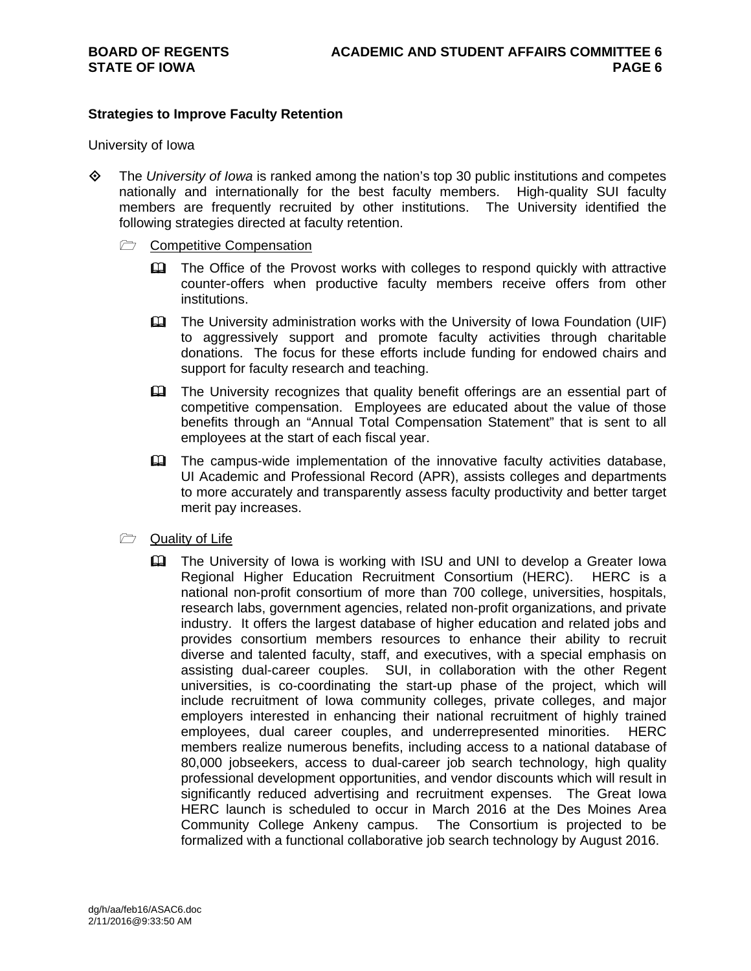#### **Strategies to Improve Faculty Retention**

University of Iowa

- The *University of Iowa* is ranked among the nation's top 30 public institutions and competes nationally and internationally for the best faculty members. High-quality SUI faculty members are frequently recruited by other institutions. The University identified the following strategies directed at faculty retention.
	- Competitive Compensation
		- The Office of the Provost works with colleges to respond quickly with attractive counter-offers when productive faculty members receive offers from other institutions.
		- The University administration works with the University of Iowa Foundation (UIF) to aggressively support and promote faculty activities through charitable donations. The focus for these efforts include funding for endowed chairs and support for faculty research and teaching.
		- The University recognizes that quality benefit offerings are an essential part of competitive compensation. Employees are educated about the value of those benefits through an "Annual Total Compensation Statement" that is sent to all employees at the start of each fiscal year.
		- The campus-wide implementation of the innovative faculty activities database, UI Academic and Professional Record (APR), assists colleges and departments to more accurately and transparently assess faculty productivity and better target merit pay increases.
	- **Quality of Life** 
		- The University of Iowa is working with ISU and UNI to develop a Greater Iowa Regional Higher Education Recruitment Consortium (HERC). HERC is a national non-profit consortium of more than 700 college, universities, hospitals, research labs, government agencies, related non-profit organizations, and private industry. It offers the largest database of higher education and related jobs and provides consortium members resources to enhance their ability to recruit diverse and talented faculty, staff, and executives, with a special emphasis on assisting dual-career couples. SUI, in collaboration with the other Regent universities, is co-coordinating the start-up phase of the project, which will include recruitment of Iowa community colleges, private colleges, and major employers interested in enhancing their national recruitment of highly trained employees, dual career couples, and underrepresented minorities. HERC members realize numerous benefits, including access to a national database of 80,000 jobseekers, access to dual-career job search technology, high quality professional development opportunities, and vendor discounts which will result in significantly reduced advertising and recruitment expenses. The Great Iowa HERC launch is scheduled to occur in March 2016 at the Des Moines Area Community College Ankeny campus. The Consortium is projected to be formalized with a functional collaborative job search technology by August 2016.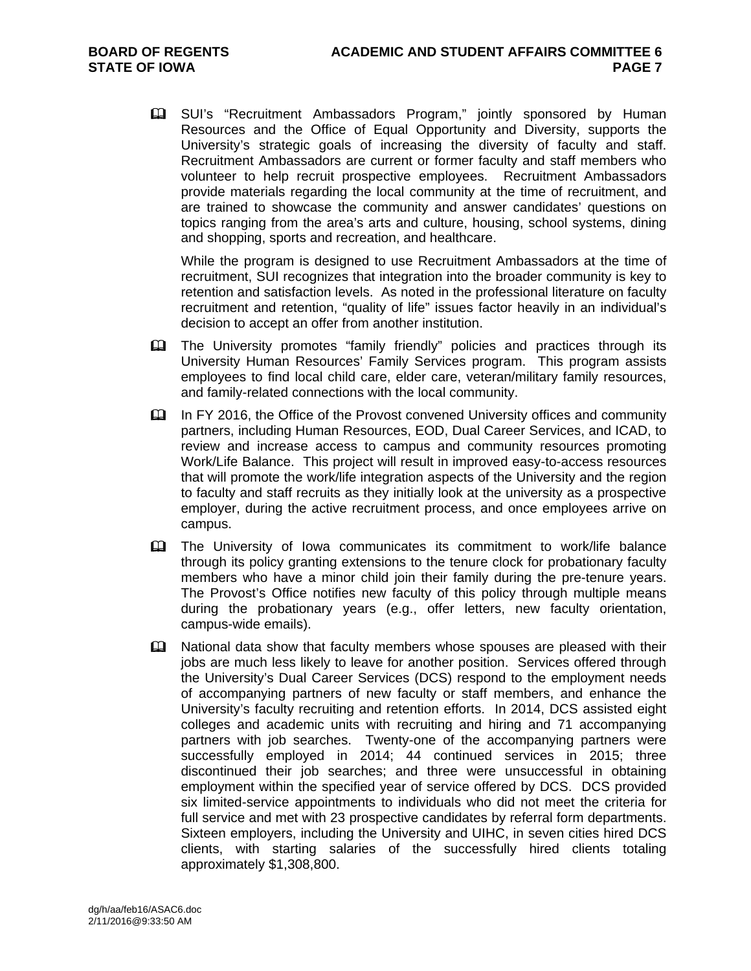**Example 15 SUI's "Recruitment Ambassadors Program," jointly sponsored by Human** Resources and the Office of Equal Opportunity and Diversity, supports the University's strategic goals of increasing the diversity of faculty and staff. Recruitment Ambassadors are current or former faculty and staff members who volunteer to help recruit prospective employees. Recruitment Ambassadors provide materials regarding the local community at the time of recruitment, and are trained to showcase the community and answer candidates' questions on topics ranging from the area's arts and culture, housing, school systems, dining and shopping, sports and recreation, and healthcare.

While the program is designed to use Recruitment Ambassadors at the time of recruitment, SUI recognizes that integration into the broader community is key to retention and satisfaction levels. As noted in the professional literature on faculty recruitment and retention, "quality of life" issues factor heavily in an individual's decision to accept an offer from another institution.

- The University promotes "family friendly" policies and practices through its University Human Resources' Family Services program. This program assists employees to find local child care, elder care, veteran/military family resources, and family-related connections with the local community.
- In FY 2016, the Office of the Provost convened University offices and community partners, including Human Resources, EOD, Dual Career Services, and ICAD, to review and increase access to campus and community resources promoting Work/Life Balance. This project will result in improved easy-to-access resources that will promote the work/life integration aspects of the University and the region to faculty and staff recruits as they initially look at the university as a prospective employer, during the active recruitment process, and once employees arrive on campus.
- The University of Iowa communicates its commitment to work/life balance through its policy granting extensions to the tenure clock for probationary faculty members who have a minor child join their family during the pre-tenure years. The Provost's Office notifies new faculty of this policy through multiple means during the probationary years (e.g., offer letters, new faculty orientation, campus-wide emails).
- **Exagger** National data show that faculty members whose spouses are pleased with their jobs are much less likely to leave for another position. Services offered through the University's Dual Career Services (DCS) respond to the employment needs of accompanying partners of new faculty or staff members, and enhance the University's faculty recruiting and retention efforts. In 2014, DCS assisted eight colleges and academic units with recruiting and hiring and 71 accompanying partners with job searches. Twenty-one of the accompanying partners were successfully employed in 2014; 44 continued services in 2015; three discontinued their job searches; and three were unsuccessful in obtaining employment within the specified year of service offered by DCS. DCS provided six limited-service appointments to individuals who did not meet the criteria for full service and met with 23 prospective candidates by referral form departments. Sixteen employers, including the University and UIHC, in seven cities hired DCS clients, with starting salaries of the successfully hired clients totaling approximately \$1,308,800.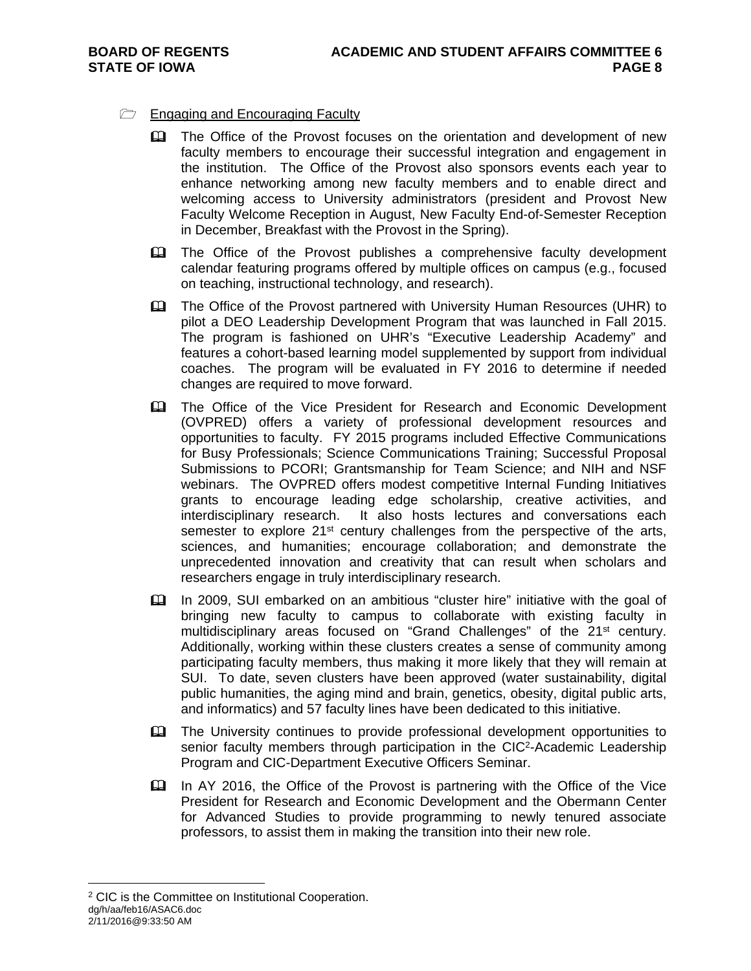### $\Box$  Engaging and Encouraging Faculty

- **Example 2** The Office of the Provost focuses on the orientation and development of new faculty members to encourage their successful integration and engagement in the institution. The Office of the Provost also sponsors events each year to enhance networking among new faculty members and to enable direct and welcoming access to University administrators (president and Provost New Faculty Welcome Reception in August, New Faculty End-of-Semester Reception in December, Breakfast with the Provost in the Spring).
- **EQ** The Office of the Provost publishes a comprehensive faculty development calendar featuring programs offered by multiple offices on campus (e.g., focused on teaching, instructional technology, and research).
- The Office of the Provost partnered with University Human Resources (UHR) to pilot a DEO Leadership Development Program that was launched in Fall 2015. The program is fashioned on UHR's "Executive Leadership Academy" and features a cohort-based learning model supplemented by support from individual coaches. The program will be evaluated in FY 2016 to determine if needed changes are required to move forward.
- The Office of the Vice President for Research and Economic Development (OVPRED) offers a variety of professional development resources and opportunities to faculty. FY 2015 programs included Effective Communications for Busy Professionals; Science Communications Training; Successful Proposal Submissions to PCORI; Grantsmanship for Team Science; and NIH and NSF webinars. The OVPRED offers modest competitive Internal Funding Initiatives grants to encourage leading edge scholarship, creative activities, and interdisciplinary research. It also hosts lectures and conversations each semester to explore  $21^{st}$  century challenges from the perspective of the arts, sciences, and humanities; encourage collaboration; and demonstrate the unprecedented innovation and creativity that can result when scholars and researchers engage in truly interdisciplinary research.
- In 2009, SUI embarked on an ambitious "cluster hire" initiative with the goal of bringing new faculty to campus to collaborate with existing faculty in multidisciplinary areas focused on "Grand Challenges" of the 21<sup>st</sup> century. Additionally, working within these clusters creates a sense of community among participating faculty members, thus making it more likely that they will remain at SUI. To date, seven clusters have been approved (water sustainability, digital public humanities, the aging mind and brain, genetics, obesity, digital public arts, and informatics) and 57 faculty lines have been dedicated to this initiative.
- The University continues to provide professional development opportunities to senior faculty members through participation in the CIC<sup>2</sup>-Academic Leadership Program and CIC-Department Executive Officers Seminar.
- In AY 2016, the Office of the Provost is partnering with the Office of the Vice President for Research and Economic Development and the Obermann Center for Advanced Studies to provide programming to newly tenured associate professors, to assist them in making the transition into their new role.

2/11/2016@9:33:50 AM

dg/h/aa/feb16/ASAC6.doc  $\overline{a}$ 2 CIC is the Committee on Institutional Cooperation.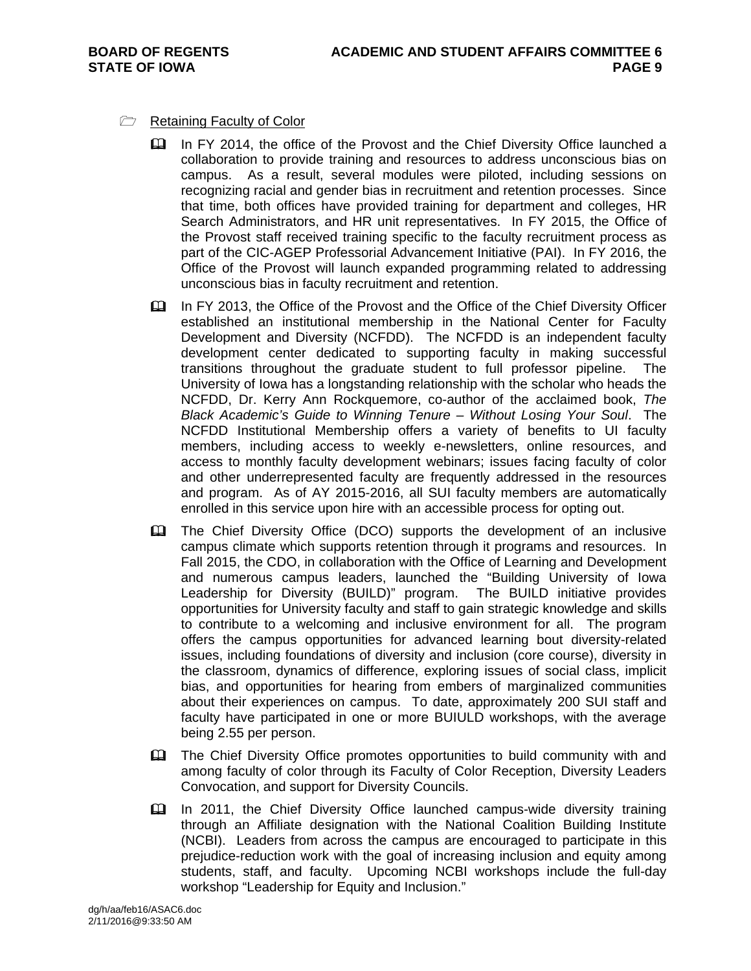### Retaining Faculty of Color

- In FY 2014, the office of the Provost and the Chief Diversity Office launched a collaboration to provide training and resources to address unconscious bias on campus. As a result, several modules were piloted, including sessions on recognizing racial and gender bias in recruitment and retention processes. Since that time, both offices have provided training for department and colleges, HR Search Administrators, and HR unit representatives. In FY 2015, the Office of the Provost staff received training specific to the faculty recruitment process as part of the CIC-AGEP Professorial Advancement Initiative (PAI). In FY 2016, the Office of the Provost will launch expanded programming related to addressing unconscious bias in faculty recruitment and retention.
- In FY 2013, the Office of the Provost and the Office of the Chief Diversity Officer established an institutional membership in the National Center for Faculty Development and Diversity (NCFDD). The NCFDD is an independent faculty development center dedicated to supporting faculty in making successful transitions throughout the graduate student to full professor pipeline. The University of Iowa has a longstanding relationship with the scholar who heads the NCFDD, Dr. Kerry Ann Rockquemore, co-author of the acclaimed book, *The Black Academic's Guide to Winning Tenure – Without Losing Your Soul*. The NCFDD Institutional Membership offers a variety of benefits to UI faculty members, including access to weekly e-newsletters, online resources, and access to monthly faculty development webinars; issues facing faculty of color and other underrepresented faculty are frequently addressed in the resources and program. As of AY 2015-2016, all SUI faculty members are automatically enrolled in this service upon hire with an accessible process for opting out.
- **Example 2** The Chief Diversity Office (DCO) supports the development of an inclusive campus climate which supports retention through it programs and resources. In Fall 2015, the CDO, in collaboration with the Office of Learning and Development and numerous campus leaders, launched the "Building University of Iowa Leadership for Diversity (BUILD)" program. The BUILD initiative provides opportunities for University faculty and staff to gain strategic knowledge and skills to contribute to a welcoming and inclusive environment for all. The program offers the campus opportunities for advanced learning bout diversity-related issues, including foundations of diversity and inclusion (core course), diversity in the classroom, dynamics of difference, exploring issues of social class, implicit bias, and opportunities for hearing from embers of marginalized communities about their experiences on campus. To date, approximately 200 SUI staff and faculty have participated in one or more BUIULD workshops, with the average being 2.55 per person.
- The Chief Diversity Office promotes opportunities to build community with and among faculty of color through its Faculty of Color Reception, Diversity Leaders Convocation, and support for Diversity Councils.
- In 2011, the Chief Diversity Office launched campus-wide diversity training through an Affiliate designation with the National Coalition Building Institute (NCBI). Leaders from across the campus are encouraged to participate in this prejudice-reduction work with the goal of increasing inclusion and equity among students, staff, and faculty. Upcoming NCBI workshops include the full-day workshop "Leadership for Equity and Inclusion."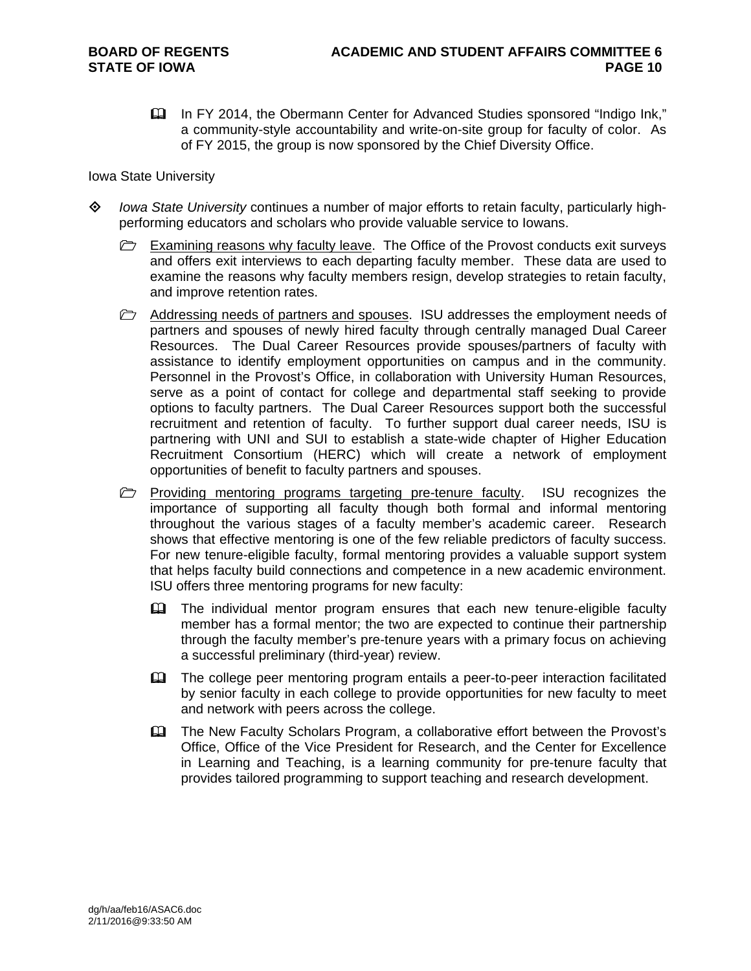In FY 2014, the Obermann Center for Advanced Studies sponsored "Indigo Ink," a community-style accountability and write-on-site group for faculty of color. As of FY 2015, the group is now sponsored by the Chief Diversity Office.

Iowa State University

- *Iowa State University* continues a number of major efforts to retain faculty, particularly highperforming educators and scholars who provide valuable service to Iowans.
	- $\triangleright$  Examining reasons why faculty leave. The Office of the Provost conducts exit surveys and offers exit interviews to each departing faculty member. These data are used to examine the reasons why faculty members resign, develop strategies to retain faculty, and improve retention rates.
	- $\triangleright$  Addressing needs of partners and spouses. ISU addresses the employment needs of partners and spouses of newly hired faculty through centrally managed Dual Career Resources. The Dual Career Resources provide spouses/partners of faculty with assistance to identify employment opportunities on campus and in the community. Personnel in the Provost's Office, in collaboration with University Human Resources, serve as a point of contact for college and departmental staff seeking to provide options to faculty partners. The Dual Career Resources support both the successful recruitment and retention of faculty. To further support dual career needs, ISU is partnering with UNI and SUI to establish a state-wide chapter of Higher Education Recruitment Consortium (HERC) which will create a network of employment opportunities of benefit to faculty partners and spouses.
	- $\triangleright$  Providing mentoring programs targeting pre-tenure faculty. ISU recognizes the importance of supporting all faculty though both formal and informal mentoring throughout the various stages of a faculty member's academic career. Research shows that effective mentoring is one of the few reliable predictors of faculty success. For new tenure-eligible faculty, formal mentoring provides a valuable support system that helps faculty build connections and competence in a new academic environment. ISU offers three mentoring programs for new faculty:
		- The individual mentor program ensures that each new tenure-eligible faculty member has a formal mentor; the two are expected to continue their partnership through the faculty member's pre-tenure years with a primary focus on achieving a successful preliminary (third-year) review.
		- The college peer mentoring program entails a peer-to-peer interaction facilitated by senior faculty in each college to provide opportunities for new faculty to meet and network with peers across the college.
		- The New Faculty Scholars Program, a collaborative effort between the Provost's Office, Office of the Vice President for Research, and the Center for Excellence in Learning and Teaching, is a learning community for pre-tenure faculty that provides tailored programming to support teaching and research development.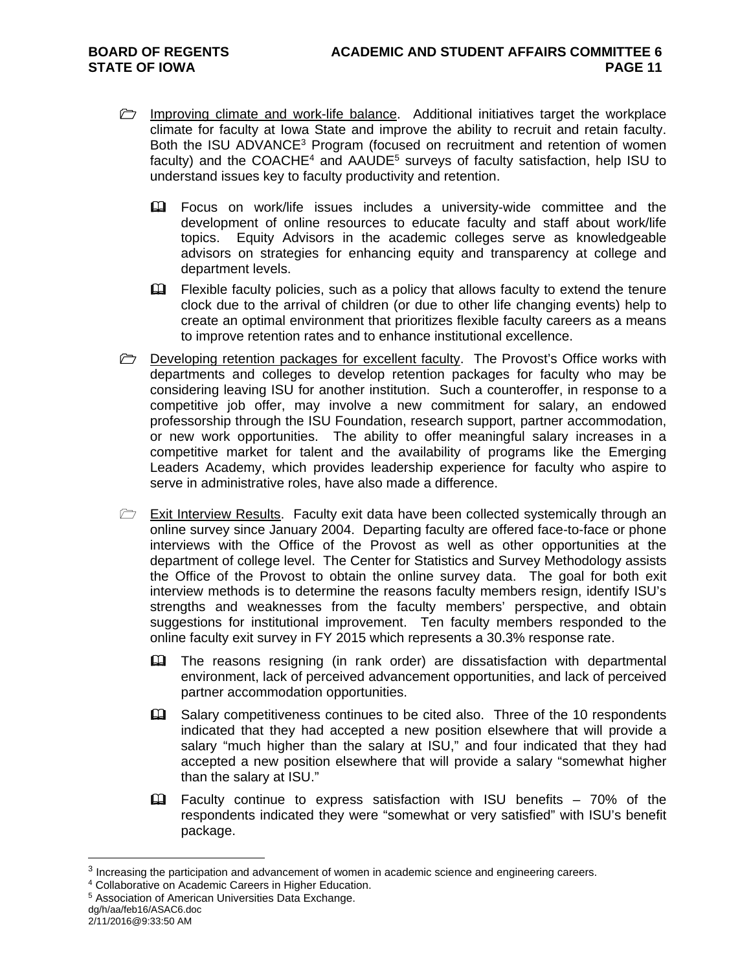- **Improving climate and work-life balance.** Additional initiatives target the workplace climate for faculty at Iowa State and improve the ability to recruit and retain faculty. Both the ISU ADVANCE<sup>3</sup> Program (focused on recruitment and retention of women faculty) and the COACHE<sup>4</sup> and AAUDE<sup>5</sup> surveys of faculty satisfaction, help ISU to understand issues key to faculty productivity and retention.
	- Focus on work/life issues includes a university-wide committee and the development of online resources to educate faculty and staff about work/life topics. Equity Advisors in the academic colleges serve as knowledgeable advisors on strategies for enhancing equity and transparency at college and department levels.
	- E Flexible faculty policies, such as a policy that allows faculty to extend the tenure clock due to the arrival of children (or due to other life changing events) help to create an optimal environment that prioritizes flexible faculty careers as a means to improve retention rates and to enhance institutional excellence.
- $\triangleright$  Developing retention packages for excellent faculty. The Provost's Office works with departments and colleges to develop retention packages for faculty who may be considering leaving ISU for another institution. Such a counteroffer, in response to a competitive job offer, may involve a new commitment for salary, an endowed professorship through the ISU Foundation, research support, partner accommodation, or new work opportunities. The ability to offer meaningful salary increases in a competitive market for talent and the availability of programs like the Emerging Leaders Academy, which provides leadership experience for faculty who aspire to serve in administrative roles, have also made a difference.
- $\triangleright$  Exit Interview Results. Faculty exit data have been collected systemically through an online survey since January 2004. Departing faculty are offered face-to-face or phone interviews with the Office of the Provost as well as other opportunities at the department of college level. The Center for Statistics and Survey Methodology assists the Office of the Provost to obtain the online survey data. The goal for both exit interview methods is to determine the reasons faculty members resign, identify ISU's strengths and weaknesses from the faculty members' perspective, and obtain suggestions for institutional improvement. Ten faculty members responded to the online faculty exit survey in FY 2015 which represents a 30.3% response rate.
	- The reasons resigning (in rank order) are dissatisfaction with departmental environment, lack of perceived advancement opportunities, and lack of perceived partner accommodation opportunities.
	- Salary competitiveness continues to be cited also. Three of the 10 respondents indicated that they had accepted a new position elsewhere that will provide a salary "much higher than the salary at ISU," and four indicated that they had accepted a new position elsewhere that will provide a salary "somewhat higher than the salary at ISU."
	- $\Box$  Faculty continue to express satisfaction with ISU benefits 70% of the respondents indicated they were "somewhat or very satisfied" with ISU's benefit package.

 $\overline{a}$ 

<sup>&</sup>lt;sup>3</sup> Increasing the participation and advancement of women in academic science and engineering careers.  $4$  Collaborative on Academic Careers in Higher Education.  $5$  Association of American Universities Data Exchange.

dg/h/aa/feb16/ASAC6.doc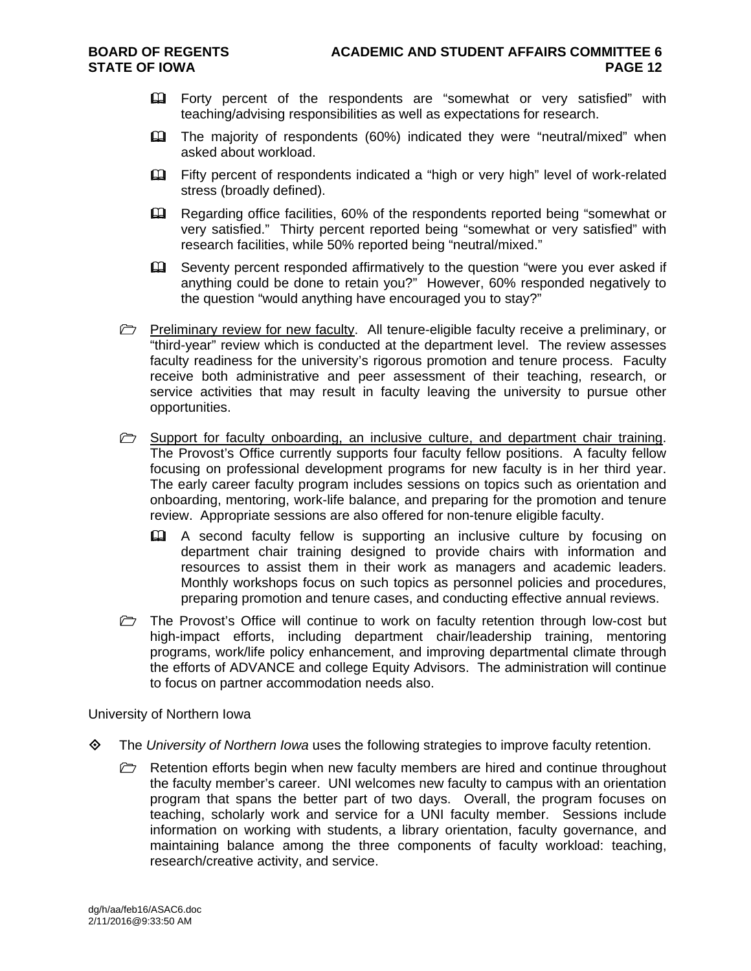- Forty percent of the respondents are "somewhat or very satisfied" with teaching/advising responsibilities as well as expectations for research.
- The majority of respondents (60%) indicated they were "neutral/mixed" when asked about workload.
- Fifty percent of respondents indicated a "high or very high" level of work-related stress (broadly defined).
- Regarding office facilities, 60% of the respondents reported being "somewhat or very satisfied." Thirty percent reported being "somewhat or very satisfied" with research facilities, while 50% reported being "neutral/mixed."
- Seventy percent responded affirmatively to the question "were you ever asked if anything could be done to retain you?" However, 60% responded negatively to the question "would anything have encouraged you to stay?"
- **Preliminary review for new faculty.** All tenure-eligible faculty receive a preliminary, or "third-year" review which is conducted at the department level. The review assesses faculty readiness for the university's rigorous promotion and tenure process. Faculty receive both administrative and peer assessment of their teaching, research, or service activities that may result in faculty leaving the university to pursue other opportunities.
- **E** Support for faculty onboarding, an inclusive culture, and department chair training. The Provost's Office currently supports four faculty fellow positions. A faculty fellow focusing on professional development programs for new faculty is in her third year. The early career faculty program includes sessions on topics such as orientation and onboarding, mentoring, work-life balance, and preparing for the promotion and tenure review. Appropriate sessions are also offered for non-tenure eligible faculty.
	- A second faculty fellow is supporting an inclusive culture by focusing on department chair training designed to provide chairs with information and resources to assist them in their work as managers and academic leaders. Monthly workshops focus on such topics as personnel policies and procedures, preparing promotion and tenure cases, and conducting effective annual reviews.
- $\triangleright$  The Provost's Office will continue to work on faculty retention through low-cost but high-impact efforts, including department chair/leadership training, mentoring programs, work/life policy enhancement, and improving departmental climate through the efforts of ADVANCE and college Equity Advisors. The administration will continue to focus on partner accommodation needs also.

University of Northern Iowa

- The *University of Northern Iowa* uses the following strategies to improve faculty retention.
	- $\triangleright$  Retention efforts begin when new faculty members are hired and continue throughout the faculty member's career. UNI welcomes new faculty to campus with an orientation program that spans the better part of two days. Overall, the program focuses on teaching, scholarly work and service for a UNI faculty member. Sessions include information on working with students, a library orientation, faculty governance, and maintaining balance among the three components of faculty workload: teaching, research/creative activity, and service.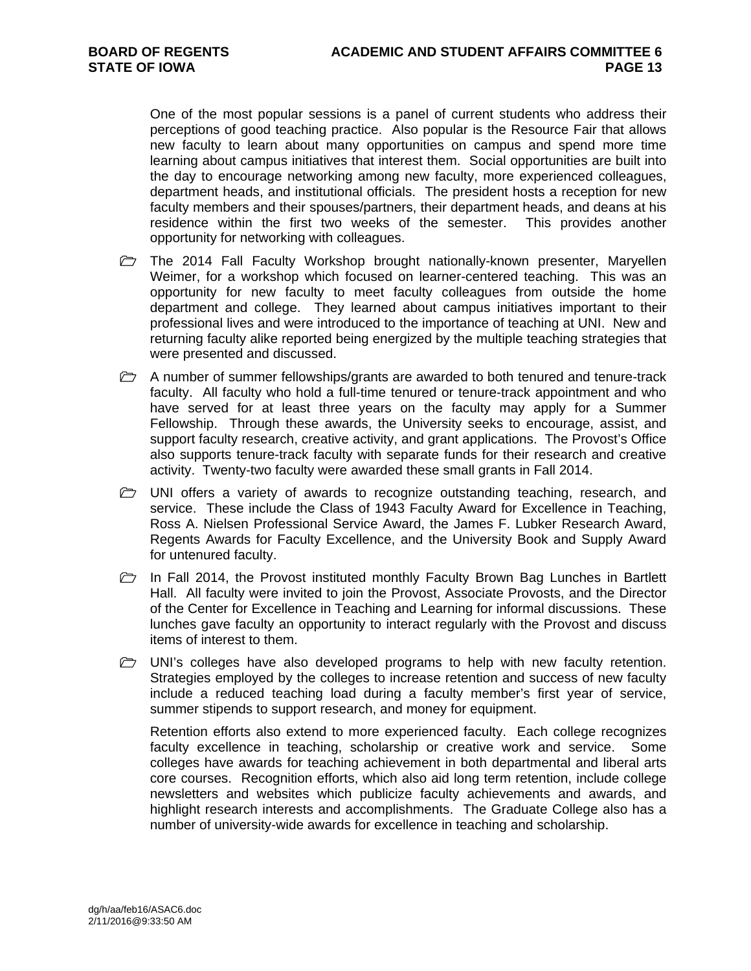One of the most popular sessions is a panel of current students who address their perceptions of good teaching practice. Also popular is the Resource Fair that allows new faculty to learn about many opportunities on campus and spend more time learning about campus initiatives that interest them. Social opportunities are built into the day to encourage networking among new faculty, more experienced colleagues, department heads, and institutional officials. The president hosts a reception for new faculty members and their spouses/partners, their department heads, and deans at his residence within the first two weeks of the semester. This provides another opportunity for networking with colleagues.

- $\triangleright$  The 2014 Fall Faculty Workshop brought nationally-known presenter, Maryellen Weimer, for a workshop which focused on learner-centered teaching. This was an opportunity for new faculty to meet faculty colleagues from outside the home department and college. They learned about campus initiatives important to their professional lives and were introduced to the importance of teaching at UNI. New and returning faculty alike reported being energized by the multiple teaching strategies that were presented and discussed.
- $\Box$  A number of summer fellowships/grants are awarded to both tenured and tenure-track faculty. All faculty who hold a full-time tenured or tenure-track appointment and who have served for at least three years on the faculty may apply for a Summer Fellowship. Through these awards, the University seeks to encourage, assist, and support faculty research, creative activity, and grant applications. The Provost's Office also supports tenure-track faculty with separate funds for their research and creative activity. Twenty-two faculty were awarded these small grants in Fall 2014.
- **E** UNI offers a variety of awards to recognize outstanding teaching, research, and service. These include the Class of 1943 Faculty Award for Excellence in Teaching, Ross A. Nielsen Professional Service Award, the James F. Lubker Research Award, Regents Awards for Faculty Excellence, and the University Book and Supply Award for untenured faculty.
- $\triangleright$  In Fall 2014, the Provost instituted monthly Faculty Brown Bag Lunches in Bartlett Hall. All faculty were invited to join the Provost, Associate Provosts, and the Director of the Center for Excellence in Teaching and Learning for informal discussions. These lunches gave faculty an opportunity to interact regularly with the Provost and discuss items of interest to them.
- $\triangleright$  UNI's colleges have also developed programs to help with new faculty retention. Strategies employed by the colleges to increase retention and success of new faculty include a reduced teaching load during a faculty member's first year of service, summer stipends to support research, and money for equipment.

Retention efforts also extend to more experienced faculty. Each college recognizes faculty excellence in teaching, scholarship or creative work and service. Some colleges have awards for teaching achievement in both departmental and liberal arts core courses. Recognition efforts, which also aid long term retention, include college newsletters and websites which publicize faculty achievements and awards, and highlight research interests and accomplishments. The Graduate College also has a number of university-wide awards for excellence in teaching and scholarship.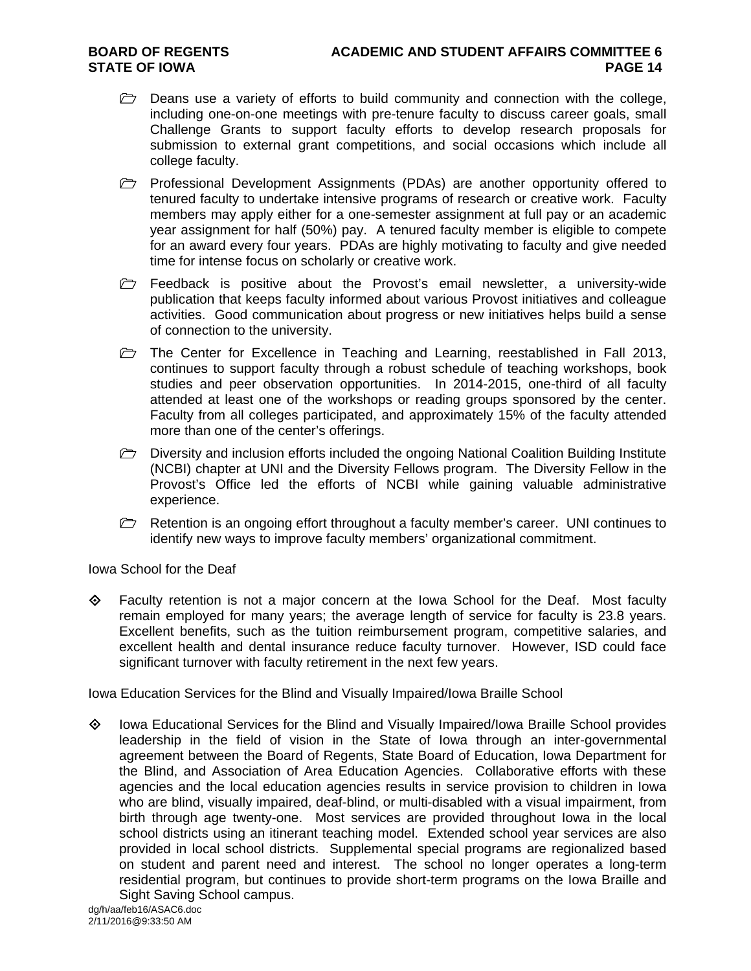- $\triangleright$  Deans use a variety of efforts to build community and connection with the college, including one-on-one meetings with pre-tenure faculty to discuss career goals, small Challenge Grants to support faculty efforts to develop research proposals for submission to external grant competitions, and social occasions which include all college faculty.
- Professional Development Assignments (PDAs) are another opportunity offered to tenured faculty to undertake intensive programs of research or creative work. Faculty members may apply either for a one-semester assignment at full pay or an academic year assignment for half (50%) pay. A tenured faculty member is eligible to compete for an award every four years. PDAs are highly motivating to faculty and give needed time for intense focus on scholarly or creative work.
- Feedback is positive about the Provost's email newsletter, a university-wide publication that keeps faculty informed about various Provost initiatives and colleague activities. Good communication about progress or new initiatives helps build a sense of connection to the university.
- $\triangleright$  The Center for Excellence in Teaching and Learning, reestablished in Fall 2013, continues to support faculty through a robust schedule of teaching workshops, book studies and peer observation opportunities. In 2014-2015, one-third of all faculty attended at least one of the workshops or reading groups sponsored by the center. Faculty from all colleges participated, and approximately 15% of the faculty attended more than one of the center's offerings.
- $\triangleright$  Diversity and inclusion efforts included the ongoing National Coalition Building Institute (NCBI) chapter at UNI and the Diversity Fellows program. The Diversity Fellow in the Provost's Office led the efforts of NCBI while gaining valuable administrative experience.
- Retention is an ongoing effort throughout a faculty member's career. UNI continues to identify new ways to improve faculty members' organizational commitment.

Iowa School for the Deaf

 $\Leftrightarrow$  Faculty retention is not a major concern at the Iowa School for the Deaf. Most faculty remain employed for many years; the average length of service for faculty is 23.8 years. Excellent benefits, such as the tuition reimbursement program, competitive salaries, and excellent health and dental insurance reduce faculty turnover. However, ISD could face significant turnover with faculty retirement in the next few years.

Iowa Education Services for the Blind and Visually Impaired/Iowa Braille School

 Iowa Educational Services for the Blind and Visually Impaired/Iowa Braille School provides leadership in the field of vision in the State of Iowa through an inter-governmental agreement between the Board of Regents, State Board of Education, Iowa Department for the Blind, and Association of Area Education Agencies. Collaborative efforts with these agencies and the local education agencies results in service provision to children in Iowa who are blind, visually impaired, deaf-blind, or multi-disabled with a visual impairment, from birth through age twenty-one. Most services are provided throughout Iowa in the local school districts using an itinerant teaching model. Extended school year services are also provided in local school districts. Supplemental special programs are regionalized based on student and parent need and interest. The school no longer operates a long-term residential program, but continues to provide short-term programs on the Iowa Braille and Sight Saving School campus.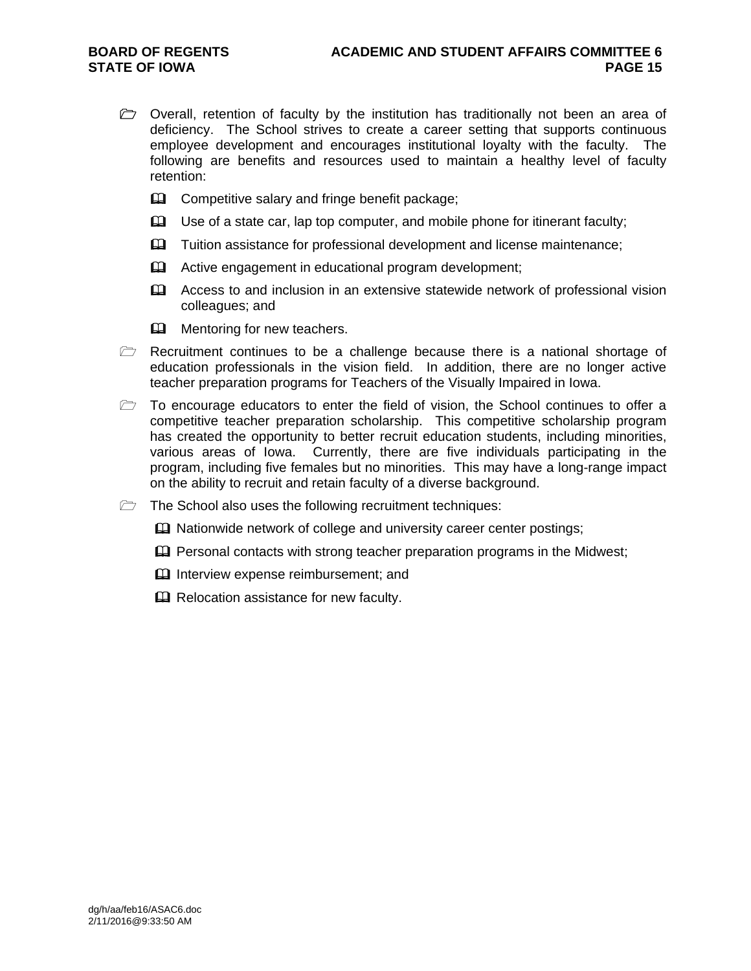- $\triangleright$  Overall, retention of faculty by the institution has traditionally not been an area of deficiency. The School strives to create a career setting that supports continuous employee development and encourages institutional loyalty with the faculty. The following are benefits and resources used to maintain a healthy level of faculty retention:
	- **EQ Competitive salary and fringe benefit package;**
	- $\Box$  Use of a state car, lap top computer, and mobile phone for itinerant faculty;
	- **Example 2** Tuition assistance for professional development and license maintenance;
	- **Example 2** Active engagement in educational program development;
	- Access to and inclusion in an extensive statewide network of professional vision colleagues; and
	- **EQ Mentoring for new teachers.**
- $\triangleright$  Recruitment continues to be a challenge because there is a national shortage of education professionals in the vision field. In addition, there are no longer active teacher preparation programs for Teachers of the Visually Impaired in Iowa.
- $\triangleright$  To encourage educators to enter the field of vision, the School continues to offer a competitive teacher preparation scholarship. This competitive scholarship program has created the opportunity to better recruit education students, including minorities, various areas of Iowa. Currently, there are five individuals participating in the program, including five females but no minorities. This may have a long-range impact on the ability to recruit and retain faculty of a diverse background.
- $\triangleright$  The School also uses the following recruitment techniques:
	- **Example 3** Nationwide network of college and university career center postings;
	- $\mathbf{\Omega}$  Personal contacts with strong teacher preparation programs in the Midwest;
	- **Interview expense reimbursement; and**
	- **Q** Relocation assistance for new faculty.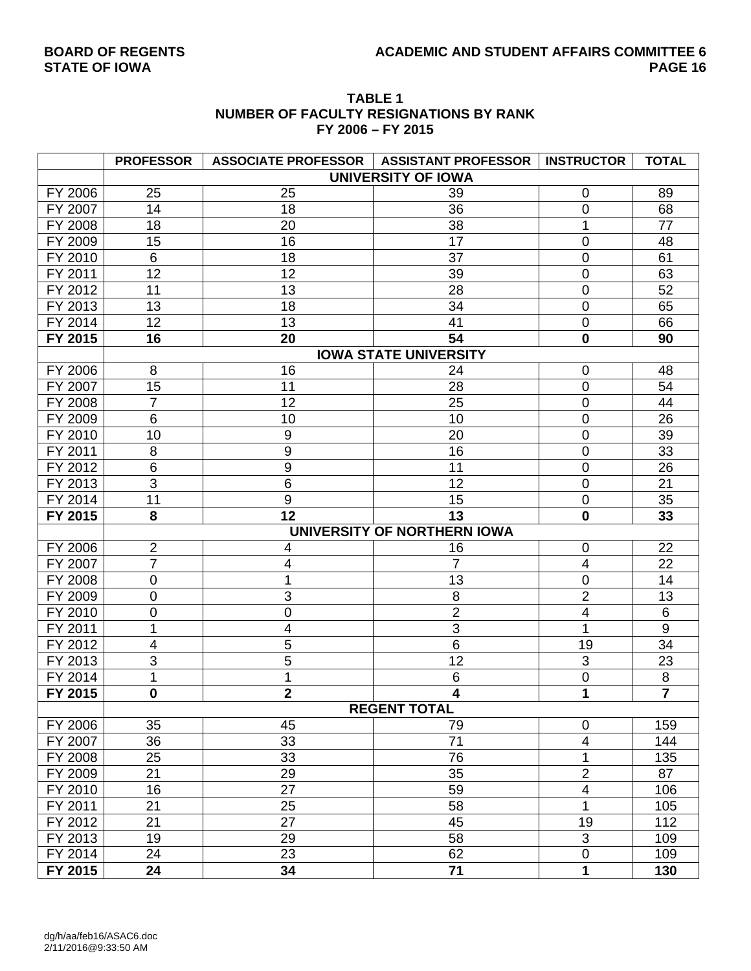## BOARD OF REGENTS **ACADEMIC AND STUDENT AFFAIRS COMMITTEE 6**<br>PAGE 16

|         | <b>PROFESSOR</b> | <b>ASSOCIATE PROFESSOR</b> | <b>ASSISTANT PROFESSOR</b>   | <b>INSTRUCTOR</b>         | <b>TOTAL</b>            |
|---------|------------------|----------------------------|------------------------------|---------------------------|-------------------------|
|         |                  |                            | <b>UNIVERSITY OF IOWA</b>    |                           |                         |
| FY 2006 | 25               | 25                         | 39                           | 0                         | 89                      |
| FY 2007 | 14               | 18                         | 36                           | 0                         | 68                      |
| FY 2008 | 18               | 20                         | 38                           | 1                         | 77                      |
| FY 2009 | 15               | 16                         | 17                           | $\mathbf 0$               | 48                      |
| FY 2010 | 6                | 18                         | 37                           | $\mathbf 0$               | 61                      |
| FY 2011 | 12               | 12                         | 39                           | 0                         | 63                      |
| FY 2012 | 11               | 13                         | 28                           | $\overline{0}$            | 52                      |
| FY 2013 | 13               | 18                         | 34                           | $\overline{0}$            | 65                      |
| FY 2014 | 12               | 13                         | 41                           | $\mathbf 0$               | 66                      |
| FY 2015 | 16               | 20                         | 54                           | $\mathbf 0$               | 90                      |
|         |                  |                            | <b>IOWA STATE UNIVERSITY</b> |                           |                         |
| FY 2006 | 8                | 16                         | 24                           | $\mathbf 0$               | 48                      |
| FY 2007 | 15               | 11                         | 28                           | $\overline{0}$            | 54                      |
| FY 2008 | $\overline{7}$   | 12                         | 25                           | $\mathbf 0$               | 44                      |
| FY 2009 | $\,6$            | 10                         | 10                           | $\mathbf 0$               | 26                      |
| FY 2010 | 10               | $\boldsymbol{9}$           | 20                           | $\mathbf 0$               | 39                      |
| FY 2011 | 8                | 9                          | 16                           | $\overline{0}$            | 33                      |
| FY 2012 | 6                | 9                          | 11                           | $\overline{0}$            | 26                      |
| FY 2013 | 3                | 6                          | 12                           | $\mathbf 0$               | 21                      |
| FY 2014 | 11               | $\boldsymbol{9}$           | 15                           | $\mathbf 0$               | 35                      |
| FY 2015 | 8                | 12                         | 13                           | $\mathbf 0$               | 33                      |
|         |                  |                            | UNIVERSITY OF NORTHERN IOWA  |                           |                         |
| FY 2006 | $\overline{2}$   | 4                          | 16                           | 0                         | 22                      |
| FY 2007 | $\overline{7}$   | 4                          | $\overline{7}$               | 4                         | 22                      |
| FY 2008 | 0                | 1                          | 13                           | $\mathbf 0$               | 14                      |
| FY 2009 | 0                | 3                          | 8                            | $\overline{2}$            | 13                      |
| FY 2010 | 0                | 0                          | $\overline{2}$               | 4                         | $\,6$                   |
| FY 2011 | 1                | 4                          | 3                            | 1                         | $9\,$                   |
| FY 2012 | 4                | 5                          | $6\phantom{1}6$              | 19                        | 34                      |
| FY 2013 | 3                | 5                          | 12                           | 3                         | 23                      |
| FY 2014 | 1                | 1                          | $\,6$                        | $\mathbf 0$               | 8                       |
| FY 2015 | $\pmb{0}$        | $\mathbf{2}$               | 4                            | 1                         | $\overline{\mathbf{7}}$ |
|         |                  |                            | <b>REGENT TOTAL</b>          |                           |                         |
| FY 2006 | 35               | 45                         | 79                           | 0                         | 159                     |
| FY 2007 | 36               | 33                         | 71                           | 4                         | 144                     |
| FY 2008 | 25               | 33                         | 76                           | 1                         | 135                     |
| FY 2009 | 21               | 29                         | 35                           | $\overline{2}$            | 87                      |
| FY 2010 | 16               | 27                         | 59                           | 4                         | 106                     |
| FY 2011 | 21               | 25                         | 58                           | 1                         | 105                     |
| FY 2012 | 21               | 27                         | 45                           | 19                        | 112                     |
| FY 2013 | 19               | 29                         | 58                           | $\ensuremath{\mathsf{3}}$ | 109                     |
| FY 2014 | 24               | 23                         | 62                           | $\mathbf 0$               | 109                     |
| FY 2015 | 24               | 34                         | 71                           | 1                         | 130                     |

#### **TABLE 1 NUMBER OF FACULTY RESIGNATIONS BY RANK FY 2006 – FY 2015**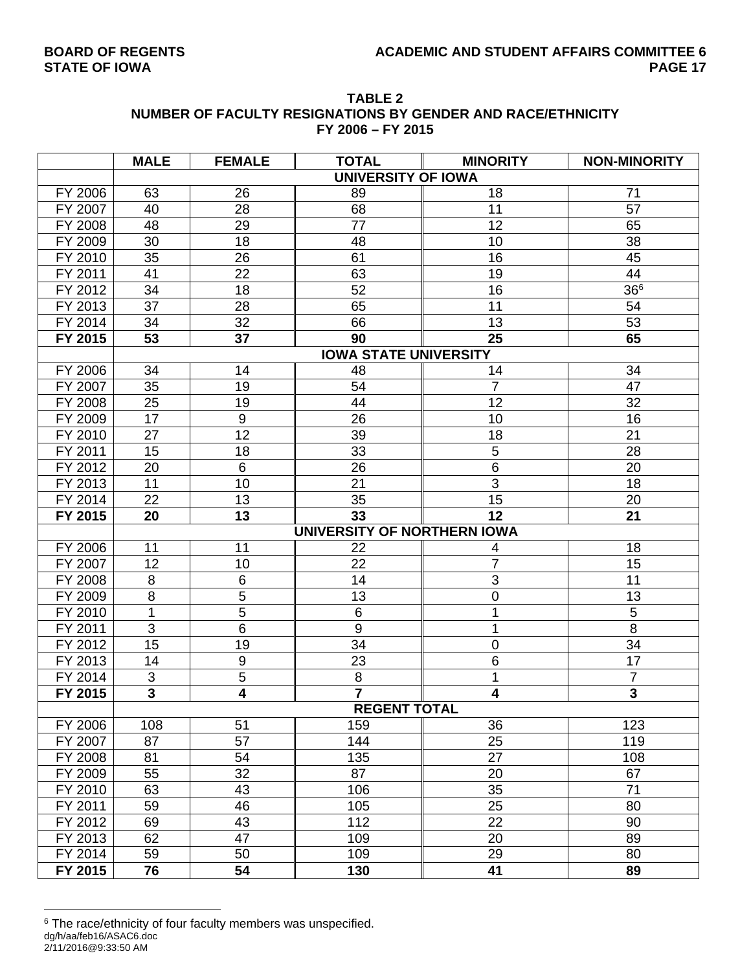|         |             |               | FY 2006 - FY 2015         | NUMBER OF FACULTY RESIGNATIONS BY GENDER AND RACE/ETHNICITY |                     |
|---------|-------------|---------------|---------------------------|-------------------------------------------------------------|---------------------|
|         | <b>MALE</b> | <b>FEMALE</b> | <b>TOTAL</b>              | <b>MINORITY</b>                                             | <b>NON-MINORITY</b> |
|         |             |               | <b>UNIVERSITY OF IOWA</b> |                                                             |                     |
| FY 2006 | 63          | 26            | 89                        | 18                                                          |                     |
| FY 2007 | 40          | 28            | 68                        |                                                             | 57                  |
| FY 2008 | 48          | 29            | 77                        | 12                                                          | 65                  |
| FY 2009 | 30          | 18            | 48                        | 10                                                          | 38                  |
|         |             |               |                           |                                                             |                     |

# **TABLE 2**

| FY 2008<br>48<br>29<br>77<br>12<br>65<br>FY 2009<br>18<br>38<br>30<br>48<br>10<br>FY 2010<br>35<br>61<br>26<br>16<br>45<br>22<br>63<br>FY 2011<br>41<br>19<br>44<br>366<br>FY 2012<br>34<br>18<br>52<br>16<br>FY 2013<br>37<br>28<br>65<br>11<br>54<br>53<br>FY 2014<br>34<br>32<br>66<br>13<br>37<br>53<br>25<br>65<br>FY 2015<br>90<br><b>IOWA STATE UNIVERSITY</b><br>34<br>FY 2006<br>34<br>14<br>48<br>14<br>$\overline{7}$<br>35<br>47<br>FY 2007<br>19<br>54<br>FY 2008<br>32<br>25<br>19<br>44<br>12<br>FY 2009<br>17<br>$\boldsymbol{9}$<br>26<br>16<br>10<br>12<br>FY 2010<br>27<br>39<br>21<br>18<br>5<br>FY 2011<br>15<br>18<br>33<br>28<br>FY 2012<br>6<br>26<br>6<br>20<br>20<br>$\overline{3}$<br>FY 2013<br>10<br>21<br>11<br>18<br>FY 2014<br>22<br>13<br>35<br>15<br>20<br>13<br>21<br>FY 2015<br>20<br>33<br>12<br>UNIVERSITY OF NORTHERN IOWA<br>FY 2006<br>11<br>18<br>11<br>22<br>4<br>$\overline{7}$<br>FY 2007<br>12<br>10<br>22<br>15<br>3<br>FY 2008<br>$\,6$<br>8<br>14<br>11<br>$\overline{5}$<br>8<br>13<br>13<br>FY 2009<br>$\pmb{0}$<br>5<br>FY 2010<br>6<br>5<br>1<br>1<br>$\overline{3}$<br>6<br>9<br>8<br>FY 2011<br>1<br>FY 2012<br>15<br>19<br>34<br>$\mathbf 0$<br>34<br>FY 2013<br>$\boldsymbol{9}$<br>23<br>6<br>17<br>14<br>$\sqrt{5}$<br>$\bf 8$<br>3<br>1<br>FY 2014<br>7<br>$\overline{\mathbf{3}}$<br>$\overline{4}$<br>$\overline{7}$<br>$\overline{\mathbf{3}}$<br>$\overline{\mathbf{4}}$<br>FY 2015<br><b>REGENT TOTAL</b><br>51<br>FY 2006<br>108<br>159<br>36<br>123<br>57<br>25<br>FY 2007<br>87<br>144<br>119<br>FY 2008<br>135<br>81<br>54<br>27<br>108<br>32<br>FY 2009<br>55<br>87<br>20<br>67<br>71<br>63<br>43<br>35<br>FY 2010<br>106<br>59<br>46<br>25<br>FY 2011<br>105<br>80<br>$\overline{43}$<br>$\overline{22}$<br>69<br>90<br>112<br>FY 2012<br>62<br>47<br>20<br>89<br>FY 2013<br>109<br>59<br>29<br>FY 2014<br>50<br>109<br>80<br>FY 2015<br>76<br>54<br>89<br>130<br>41 | FY 2007 | 40 | 28 | 68 | 11 | 57 |
|---------------------------------------------------------------------------------------------------------------------------------------------------------------------------------------------------------------------------------------------------------------------------------------------------------------------------------------------------------------------------------------------------------------------------------------------------------------------------------------------------------------------------------------------------------------------------------------------------------------------------------------------------------------------------------------------------------------------------------------------------------------------------------------------------------------------------------------------------------------------------------------------------------------------------------------------------------------------------------------------------------------------------------------------------------------------------------------------------------------------------------------------------------------------------------------------------------------------------------------------------------------------------------------------------------------------------------------------------------------------------------------------------------------------------------------------------------------------------------------------------------------------------------------------------------------------------------------------------------------------------------------------------------------------------------------------------------------------------------------------------------------------------------------------------------------------------------------------------------------------------------------------------------------------------------------------|---------|----|----|----|----|----|
|                                                                                                                                                                                                                                                                                                                                                                                                                                                                                                                                                                                                                                                                                                                                                                                                                                                                                                                                                                                                                                                                                                                                                                                                                                                                                                                                                                                                                                                                                                                                                                                                                                                                                                                                                                                                                                                                                                                                             |         |    |    |    |    |    |
|                                                                                                                                                                                                                                                                                                                                                                                                                                                                                                                                                                                                                                                                                                                                                                                                                                                                                                                                                                                                                                                                                                                                                                                                                                                                                                                                                                                                                                                                                                                                                                                                                                                                                                                                                                                                                                                                                                                                             |         |    |    |    |    |    |
|                                                                                                                                                                                                                                                                                                                                                                                                                                                                                                                                                                                                                                                                                                                                                                                                                                                                                                                                                                                                                                                                                                                                                                                                                                                                                                                                                                                                                                                                                                                                                                                                                                                                                                                                                                                                                                                                                                                                             |         |    |    |    |    |    |
|                                                                                                                                                                                                                                                                                                                                                                                                                                                                                                                                                                                                                                                                                                                                                                                                                                                                                                                                                                                                                                                                                                                                                                                                                                                                                                                                                                                                                                                                                                                                                                                                                                                                                                                                                                                                                                                                                                                                             |         |    |    |    |    |    |
|                                                                                                                                                                                                                                                                                                                                                                                                                                                                                                                                                                                                                                                                                                                                                                                                                                                                                                                                                                                                                                                                                                                                                                                                                                                                                                                                                                                                                                                                                                                                                                                                                                                                                                                                                                                                                                                                                                                                             |         |    |    |    |    |    |
|                                                                                                                                                                                                                                                                                                                                                                                                                                                                                                                                                                                                                                                                                                                                                                                                                                                                                                                                                                                                                                                                                                                                                                                                                                                                                                                                                                                                                                                                                                                                                                                                                                                                                                                                                                                                                                                                                                                                             |         |    |    |    |    |    |
|                                                                                                                                                                                                                                                                                                                                                                                                                                                                                                                                                                                                                                                                                                                                                                                                                                                                                                                                                                                                                                                                                                                                                                                                                                                                                                                                                                                                                                                                                                                                                                                                                                                                                                                                                                                                                                                                                                                                             |         |    |    |    |    |    |
|                                                                                                                                                                                                                                                                                                                                                                                                                                                                                                                                                                                                                                                                                                                                                                                                                                                                                                                                                                                                                                                                                                                                                                                                                                                                                                                                                                                                                                                                                                                                                                                                                                                                                                                                                                                                                                                                                                                                             |         |    |    |    |    |    |
|                                                                                                                                                                                                                                                                                                                                                                                                                                                                                                                                                                                                                                                                                                                                                                                                                                                                                                                                                                                                                                                                                                                                                                                                                                                                                                                                                                                                                                                                                                                                                                                                                                                                                                                                                                                                                                                                                                                                             |         |    |    |    |    |    |
|                                                                                                                                                                                                                                                                                                                                                                                                                                                                                                                                                                                                                                                                                                                                                                                                                                                                                                                                                                                                                                                                                                                                                                                                                                                                                                                                                                                                                                                                                                                                                                                                                                                                                                                                                                                                                                                                                                                                             |         |    |    |    |    |    |
|                                                                                                                                                                                                                                                                                                                                                                                                                                                                                                                                                                                                                                                                                                                                                                                                                                                                                                                                                                                                                                                                                                                                                                                                                                                                                                                                                                                                                                                                                                                                                                                                                                                                                                                                                                                                                                                                                                                                             |         |    |    |    |    |    |
|                                                                                                                                                                                                                                                                                                                                                                                                                                                                                                                                                                                                                                                                                                                                                                                                                                                                                                                                                                                                                                                                                                                                                                                                                                                                                                                                                                                                                                                                                                                                                                                                                                                                                                                                                                                                                                                                                                                                             |         |    |    |    |    |    |
|                                                                                                                                                                                                                                                                                                                                                                                                                                                                                                                                                                                                                                                                                                                                                                                                                                                                                                                                                                                                                                                                                                                                                                                                                                                                                                                                                                                                                                                                                                                                                                                                                                                                                                                                                                                                                                                                                                                                             |         |    |    |    |    |    |
|                                                                                                                                                                                                                                                                                                                                                                                                                                                                                                                                                                                                                                                                                                                                                                                                                                                                                                                                                                                                                                                                                                                                                                                                                                                                                                                                                                                                                                                                                                                                                                                                                                                                                                                                                                                                                                                                                                                                             |         |    |    |    |    |    |
|                                                                                                                                                                                                                                                                                                                                                                                                                                                                                                                                                                                                                                                                                                                                                                                                                                                                                                                                                                                                                                                                                                                                                                                                                                                                                                                                                                                                                                                                                                                                                                                                                                                                                                                                                                                                                                                                                                                                             |         |    |    |    |    |    |
|                                                                                                                                                                                                                                                                                                                                                                                                                                                                                                                                                                                                                                                                                                                                                                                                                                                                                                                                                                                                                                                                                                                                                                                                                                                                                                                                                                                                                                                                                                                                                                                                                                                                                                                                                                                                                                                                                                                                             |         |    |    |    |    |    |
|                                                                                                                                                                                                                                                                                                                                                                                                                                                                                                                                                                                                                                                                                                                                                                                                                                                                                                                                                                                                                                                                                                                                                                                                                                                                                                                                                                                                                                                                                                                                                                                                                                                                                                                                                                                                                                                                                                                                             |         |    |    |    |    |    |
|                                                                                                                                                                                                                                                                                                                                                                                                                                                                                                                                                                                                                                                                                                                                                                                                                                                                                                                                                                                                                                                                                                                                                                                                                                                                                                                                                                                                                                                                                                                                                                                                                                                                                                                                                                                                                                                                                                                                             |         |    |    |    |    |    |
|                                                                                                                                                                                                                                                                                                                                                                                                                                                                                                                                                                                                                                                                                                                                                                                                                                                                                                                                                                                                                                                                                                                                                                                                                                                                                                                                                                                                                                                                                                                                                                                                                                                                                                                                                                                                                                                                                                                                             |         |    |    |    |    |    |
|                                                                                                                                                                                                                                                                                                                                                                                                                                                                                                                                                                                                                                                                                                                                                                                                                                                                                                                                                                                                                                                                                                                                                                                                                                                                                                                                                                                                                                                                                                                                                                                                                                                                                                                                                                                                                                                                                                                                             |         |    |    |    |    |    |
|                                                                                                                                                                                                                                                                                                                                                                                                                                                                                                                                                                                                                                                                                                                                                                                                                                                                                                                                                                                                                                                                                                                                                                                                                                                                                                                                                                                                                                                                                                                                                                                                                                                                                                                                                                                                                                                                                                                                             |         |    |    |    |    |    |
|                                                                                                                                                                                                                                                                                                                                                                                                                                                                                                                                                                                                                                                                                                                                                                                                                                                                                                                                                                                                                                                                                                                                                                                                                                                                                                                                                                                                                                                                                                                                                                                                                                                                                                                                                                                                                                                                                                                                             |         |    |    |    |    |    |
|                                                                                                                                                                                                                                                                                                                                                                                                                                                                                                                                                                                                                                                                                                                                                                                                                                                                                                                                                                                                                                                                                                                                                                                                                                                                                                                                                                                                                                                                                                                                                                                                                                                                                                                                                                                                                                                                                                                                             |         |    |    |    |    |    |
|                                                                                                                                                                                                                                                                                                                                                                                                                                                                                                                                                                                                                                                                                                                                                                                                                                                                                                                                                                                                                                                                                                                                                                                                                                                                                                                                                                                                                                                                                                                                                                                                                                                                                                                                                                                                                                                                                                                                             |         |    |    |    |    |    |
|                                                                                                                                                                                                                                                                                                                                                                                                                                                                                                                                                                                                                                                                                                                                                                                                                                                                                                                                                                                                                                                                                                                                                                                                                                                                                                                                                                                                                                                                                                                                                                                                                                                                                                                                                                                                                                                                                                                                             |         |    |    |    |    |    |
|                                                                                                                                                                                                                                                                                                                                                                                                                                                                                                                                                                                                                                                                                                                                                                                                                                                                                                                                                                                                                                                                                                                                                                                                                                                                                                                                                                                                                                                                                                                                                                                                                                                                                                                                                                                                                                                                                                                                             |         |    |    |    |    |    |
|                                                                                                                                                                                                                                                                                                                                                                                                                                                                                                                                                                                                                                                                                                                                                                                                                                                                                                                                                                                                                                                                                                                                                                                                                                                                                                                                                                                                                                                                                                                                                                                                                                                                                                                                                                                                                                                                                                                                             |         |    |    |    |    |    |
|                                                                                                                                                                                                                                                                                                                                                                                                                                                                                                                                                                                                                                                                                                                                                                                                                                                                                                                                                                                                                                                                                                                                                                                                                                                                                                                                                                                                                                                                                                                                                                                                                                                                                                                                                                                                                                                                                                                                             |         |    |    |    |    |    |
|                                                                                                                                                                                                                                                                                                                                                                                                                                                                                                                                                                                                                                                                                                                                                                                                                                                                                                                                                                                                                                                                                                                                                                                                                                                                                                                                                                                                                                                                                                                                                                                                                                                                                                                                                                                                                                                                                                                                             |         |    |    |    |    |    |
|                                                                                                                                                                                                                                                                                                                                                                                                                                                                                                                                                                                                                                                                                                                                                                                                                                                                                                                                                                                                                                                                                                                                                                                                                                                                                                                                                                                                                                                                                                                                                                                                                                                                                                                                                                                                                                                                                                                                             |         |    |    |    |    |    |
|                                                                                                                                                                                                                                                                                                                                                                                                                                                                                                                                                                                                                                                                                                                                                                                                                                                                                                                                                                                                                                                                                                                                                                                                                                                                                                                                                                                                                                                                                                                                                                                                                                                                                                                                                                                                                                                                                                                                             |         |    |    |    |    |    |
|                                                                                                                                                                                                                                                                                                                                                                                                                                                                                                                                                                                                                                                                                                                                                                                                                                                                                                                                                                                                                                                                                                                                                                                                                                                                                                                                                                                                                                                                                                                                                                                                                                                                                                                                                                                                                                                                                                                                             |         |    |    |    |    |    |
|                                                                                                                                                                                                                                                                                                                                                                                                                                                                                                                                                                                                                                                                                                                                                                                                                                                                                                                                                                                                                                                                                                                                                                                                                                                                                                                                                                                                                                                                                                                                                                                                                                                                                                                                                                                                                                                                                                                                             |         |    |    |    |    |    |
|                                                                                                                                                                                                                                                                                                                                                                                                                                                                                                                                                                                                                                                                                                                                                                                                                                                                                                                                                                                                                                                                                                                                                                                                                                                                                                                                                                                                                                                                                                                                                                                                                                                                                                                                                                                                                                                                                                                                             |         |    |    |    |    |    |
|                                                                                                                                                                                                                                                                                                                                                                                                                                                                                                                                                                                                                                                                                                                                                                                                                                                                                                                                                                                                                                                                                                                                                                                                                                                                                                                                                                                                                                                                                                                                                                                                                                                                                                                                                                                                                                                                                                                                             |         |    |    |    |    |    |
|                                                                                                                                                                                                                                                                                                                                                                                                                                                                                                                                                                                                                                                                                                                                                                                                                                                                                                                                                                                                                                                                                                                                                                                                                                                                                                                                                                                                                                                                                                                                                                                                                                                                                                                                                                                                                                                                                                                                             |         |    |    |    |    |    |
|                                                                                                                                                                                                                                                                                                                                                                                                                                                                                                                                                                                                                                                                                                                                                                                                                                                                                                                                                                                                                                                                                                                                                                                                                                                                                                                                                                                                                                                                                                                                                                                                                                                                                                                                                                                                                                                                                                                                             |         |    |    |    |    |    |
|                                                                                                                                                                                                                                                                                                                                                                                                                                                                                                                                                                                                                                                                                                                                                                                                                                                                                                                                                                                                                                                                                                                                                                                                                                                                                                                                                                                                                                                                                                                                                                                                                                                                                                                                                                                                                                                                                                                                             |         |    |    |    |    |    |
|                                                                                                                                                                                                                                                                                                                                                                                                                                                                                                                                                                                                                                                                                                                                                                                                                                                                                                                                                                                                                                                                                                                                                                                                                                                                                                                                                                                                                                                                                                                                                                                                                                                                                                                                                                                                                                                                                                                                             |         |    |    |    |    |    |
|                                                                                                                                                                                                                                                                                                                                                                                                                                                                                                                                                                                                                                                                                                                                                                                                                                                                                                                                                                                                                                                                                                                                                                                                                                                                                                                                                                                                                                                                                                                                                                                                                                                                                                                                                                                                                                                                                                                                             |         |    |    |    |    |    |
|                                                                                                                                                                                                                                                                                                                                                                                                                                                                                                                                                                                                                                                                                                                                                                                                                                                                                                                                                                                                                                                                                                                                                                                                                                                                                                                                                                                                                                                                                                                                                                                                                                                                                                                                                                                                                                                                                                                                             |         |    |    |    |    |    |

dg/h/aa/feb16/ASAC6.doc 2/11/2016@9:33:50 AM <sup>6</sup> The race/ethnicity of four faculty members was unspecified.

 $\overline{a}$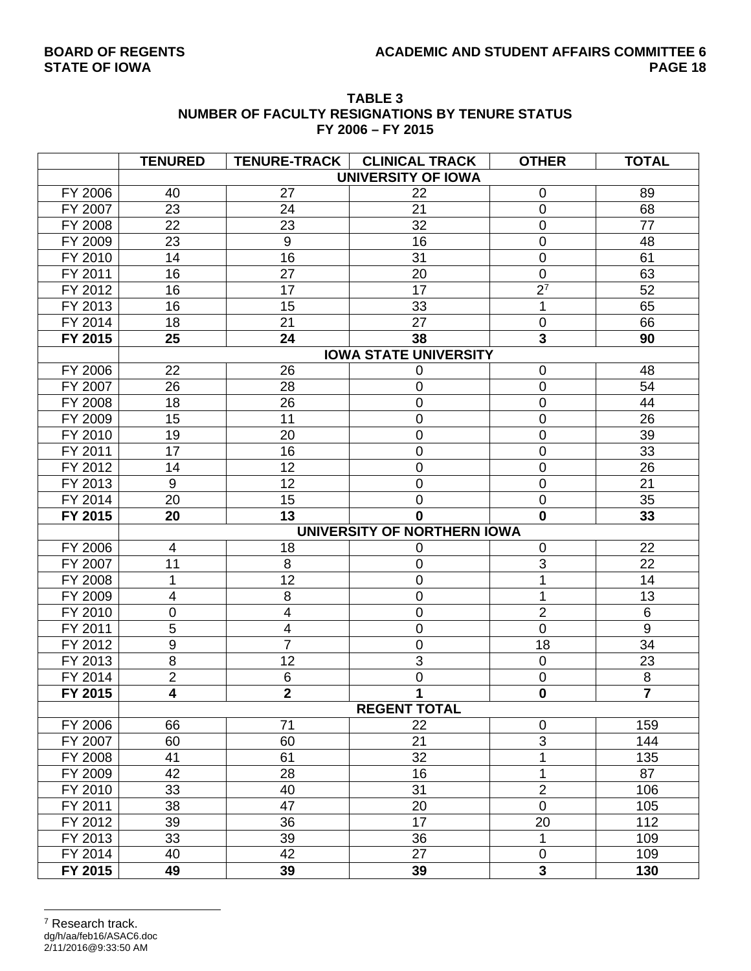| <b>TABLE 3</b>                                  |
|-------------------------------------------------|
| NUMBER OF FACULTY RESIGNATIONS BY TENURE STATUS |
| FY 2006 - FY 2015                               |

|         | <b>TENURED</b>   |                         | TENURE-TRACK   CLINICAL TRACK | <b>OTHER</b>   | <b>TOTAL</b>     |
|---------|------------------|-------------------------|-------------------------------|----------------|------------------|
|         |                  |                         | <b>UNIVERSITY OF IOWA</b>     |                |                  |
| FY 2006 | 40               | 27                      | 22                            | $\mathbf 0$    | 89               |
| FY 2007 | 23               | 24                      | 21                            | $\mathbf 0$    | 68               |
| FY 2008 | 22               | 23                      | 32                            | $\mathbf 0$    | 77               |
| FY 2009 | 23               | $\boldsymbol{9}$        | 16                            | $\mathbf 0$    | 48               |
| FY 2010 | 14               | 16                      | 31                            | $\mathbf 0$    | 61               |
| FY 2011 | 16               | 27                      | 20                            | $\mathbf 0$    | 63               |
| FY 2012 | 16               | 17                      | 17                            | 2 <sup>7</sup> | 52               |
| FY 2013 | 16               | 15                      | 33                            | 1              | 65               |
| FY 2014 | 18               | 21                      | 27                            | $\mathbf 0$    | 66               |
| FY 2015 | 25               | 24                      | 38                            | 3              | 90               |
|         |                  |                         | <b>IOWA STATE UNIVERSITY</b>  |                |                  |
| FY 2006 | 22               | 26                      | 0                             | $\mathbf 0$    | 48               |
| FY 2007 | 26               | 28                      | 0                             | $\mathbf 0$    | 54               |
| FY 2008 | 18               | 26                      | 0                             | $\mathbf 0$    | 44               |
| FY 2009 | 15               | 11                      | 0                             | $\mathbf 0$    | 26               |
| FY 2010 | 19               | 20                      | 0                             | $\overline{0}$ | 39               |
| FY 2011 | 17               | 16                      | 0                             | $\mathbf 0$    | 33               |
| FY 2012 | 14               | 12                      | $\mathbf 0$                   | $\mathbf 0$    | 26               |
| FY 2013 | 9                | 12                      | 0                             | $\mathbf 0$    | 21               |
| FY 2014 | 20               | 15                      | 0                             | $\mathbf 0$    | 35               |
| FY 2015 | 20               | 13                      | 0                             | $\mathbf 0$    | 33               |
|         |                  |                         | UNIVERSITY OF NORTHERN IOWA   |                |                  |
| FY 2006 | 4                | 18                      | 0                             | $\mathbf 0$    | 22               |
| FY 2007 | 11               | 8                       | 0                             | 3              | 22               |
| FY 2008 | 1                | 12                      | 0                             |                | 14               |
| FY 2009 | 4                | 8                       | 0                             | 1              | 13               |
| FY 2010 | 0                | $\overline{4}$          | 0                             | $\overline{2}$ | 6                |
| FY 2011 | $\overline{5}$   | $\overline{\mathbf{4}}$ | 0                             | $\mathbf 0$    | $\boldsymbol{9}$ |
| FY 2012 | $\boldsymbol{9}$ | $\overline{7}$          | 0                             | 18             | 34               |
| FY 2013 | 8                | 12                      | 3                             | $\mathbf 0$    | 23               |
| FY 2014 | $\overline{2}$   | $\,6$                   | 0                             | $\mathbf 0$    | $\bf 8$          |
| FY 2015 | 4                | $\overline{2}$          | 1                             | $\mathbf 0$    | $\overline{7}$   |
|         |                  |                         | <b>REGENT TOTAL</b>           |                |                  |
| FY 2006 | 66               | 71                      | 22                            | $\mathbf 0$    | 159              |
| FY 2007 | 60               | 60                      | 21                            | 3              | 144              |
| FY 2008 | 41               | 61                      | 32                            | 1              | 135              |
| FY 2009 | 42               | 28                      | 16                            | $\mathbf{1}$   | 87               |
| FY 2010 | 33               | 40                      | 31                            | $\overline{2}$ | 106              |
| FY 2011 | 38               | 47                      | 20                            | $\overline{0}$ | 105              |
| FY 2012 | 39               | 36                      | 17                            | 20             | 112              |
| FY 2013 | 33               | 39                      | 36                            | 1              | 109              |
| FY 2014 | 40               | 42                      | 27                            | $\mathbf 0$    | 109              |
| FY 2015 | 49               | 39                      | 39                            | $\overline{3}$ | 130              |

#### dg/h/aa/feb16/ASAC6.doc 2/11/2016@9:33:50 AM  $\overline{a}$ 7 Research track.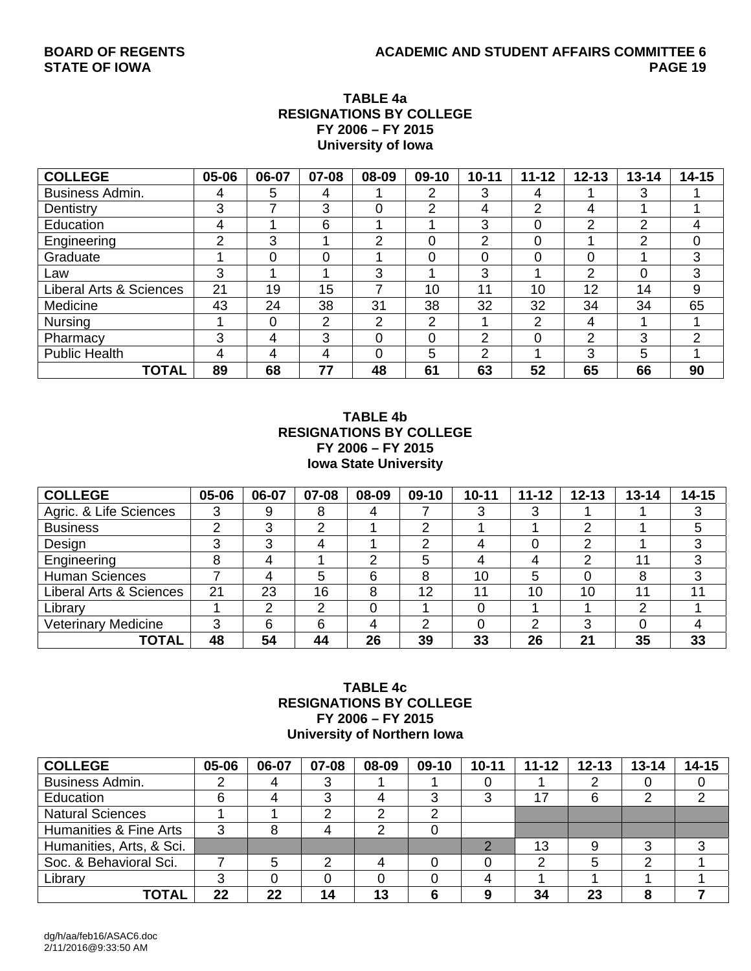### **TABLE 4a RESIGNATIONS BY COLLEGE FY 2006 – FY 2015 University of Iowa**

| <b>COLLEGE</b>                     | 05-06 | 06-07 | 07-08 | 08-09    | 09-10 | $10 - 11$ | $11 - 12$     | $12 - 13$      | $13 - 14$ | $14 - 15$ |
|------------------------------------|-------|-------|-------|----------|-------|-----------|---------------|----------------|-----------|-----------|
| <b>Business Admin.</b>             | 4     | 5     | 4     |          | າ     | 3         | 4             |                | 3         |           |
| Dentistry                          | 3     |       | 3     | $\Omega$ | ⌒     | 4         | っ             | 4              |           |           |
| Education                          | 4     |       | 6     |          |       | 3         | 0             | $\overline{2}$ | 2         | 4         |
| Engineering                        | っ     | 3     |       | ⌒        |       | っ         | 0             |                | 2         | 0         |
| Graduate                           |       | 0     | 0     |          | 0     |           | 0             | 0              |           | 3         |
| Law                                | 3     |       |       | 3        |       | 3         |               | 2              | 0         | 3         |
| <b>Liberal Arts &amp; Sciences</b> | 21    | 19    | 15    |          | 10    | 11        | 10            | 12             | 14        | 9         |
| Medicine                           | 43    | 24    | 38    | 31       | 38    | 32        | 32            | 34             | 34        | 65        |
| <b>Nursing</b>                     |       | 0     | 2     | ⌒        | っ     |           | $\mathcal{P}$ | 4              |           |           |
| Pharmacy                           | 3     | 4     | 3     | $\Omega$ | 0     | っ         | 0             | 2              | 3         | 2         |
| <b>Public Health</b>               | 4     | 4     | 4     | $\Omega$ | 5     | っ         |               | 3              | 5         |           |
| TOTAL                              | 89    | 68    | 77    | 48       | 61    | 63        | 52            | 65             | 66        | 90        |

#### **TABLE 4b RESIGNATIONS BY COLLEGE FY 2006 – FY 2015 Iowa State University**

| <b>COLLEGE</b>             | 05-06 | 06-07 | 07-08 | 08-09    | 09-10 | $10 - 11$ | $11 - 12$ | $12 - 13$ | $13 - 14$ | $14 - 15$ |
|----------------------------|-------|-------|-------|----------|-------|-----------|-----------|-----------|-----------|-----------|
| Agric. & Life Sciences     |       | 9     | 8     | 4        |       |           |           |           |           |           |
| <b>Business</b>            |       | ົ     | ◠     |          | ⌒     |           |           | ◠         |           | 5         |
| Design                     |       | ົ     | 4     |          | っ     |           |           | ົ         |           | 3         |
| Engineering                |       |       |       | ົ        | 5     |           | 4         | ົ         | 11        | 3         |
| <b>Human Sciences</b>      |       |       | 5     | 6        | 8     | 10        | 5         |           | 8         | 3         |
| Liberal Arts & Sciences    | 21    | 23    | 16    | 8        | 12    | 11        | 10        | 10        | 11        | 11        |
| Library                    |       | ⌒     | ⌒     | $\Omega$ |       |           |           |           | ⌒         |           |
| <b>Veterinary Medicine</b> | ົ     | 6     | 6     | 4        | ົ     |           | າ         | 3         |           |           |
| <b>TOTAL</b>               | 48    | 54    | 44    | 26       | 39    | 33        | 26        | 21        | 35        | 33        |

#### **TABLE 4c RESIGNATIONS BY COLLEGE FY 2006 – FY 2015 University of Northern Iowa**

| <b>COLLEGE</b>           | 05-06 | 06-07 | 07-08 | 08-09 | $09-10$ | $10 - 11$ | $11 - 12$ | $12 - 13$ | $13 - 14$ | $14 - 15$ |
|--------------------------|-------|-------|-------|-------|---------|-----------|-----------|-----------|-----------|-----------|
| Business Admin.          |       |       |       |       |         |           |           |           |           |           |
| Education                | 6     |       |       |       |         | ົ         | 17        | 6         |           |           |
| <b>Natural Sciences</b>  |       |       |       |       |         |           |           |           |           |           |
| Humanities & Fine Arts   | ◠     |       |       |       |         |           |           |           |           |           |
| Humanities, Arts, & Sci. |       |       |       |       |         |           | 13        |           |           |           |
| Soc. & Behavioral Sci.   |       | 5     |       |       |         |           |           |           | ⌒         |           |
| Library                  |       |       |       |       |         |           |           |           |           |           |
| TOTAL                    | 22    | 22    | 14    | 13    |         | O         | 34        | 23        | 8         |           |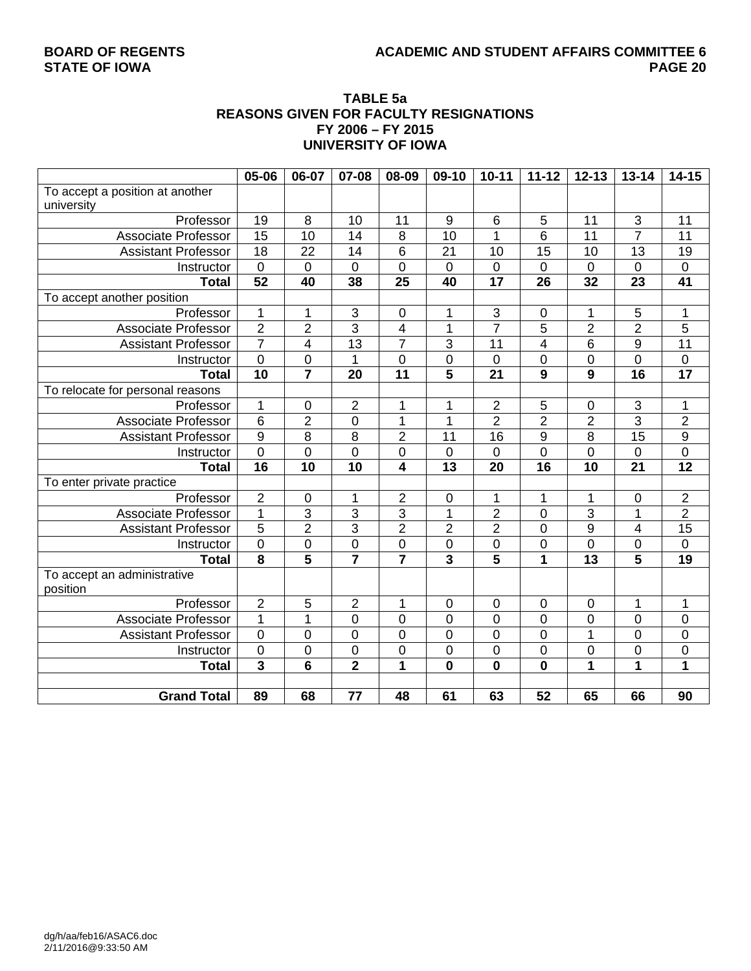## BOARD OF REGENTS **ACADEMIC AND STUDENT AFFAIRS COMMITTEE 6**<br>PAGE 20

#### **TABLE 5a REASONS GIVEN FOR FACULTY RESIGNATIONS FY 2006 – FY 2015 UNIVERSITY OF IOWA**

|                                  | 05-06                   | 06-07                   | 07-08                     | 08-09                   | 09-10            | $10 - 11$                 | $11 - 12$               | $12 - 13$      | $13 - 14$               | $14 - 15$        |
|----------------------------------|-------------------------|-------------------------|---------------------------|-------------------------|------------------|---------------------------|-------------------------|----------------|-------------------------|------------------|
| To accept a position at another  |                         |                         |                           |                         |                  |                           |                         |                |                         |                  |
| university                       |                         |                         |                           |                         |                  |                           |                         |                |                         |                  |
| Professor                        | 19                      | 8                       | 10                        | 11                      | 9                | $\,6$                     | 5                       | 11             | 3                       | 11               |
| Associate Professor              | 15                      | 10                      | 14                        | 8                       | 10               | 1                         | 6                       | 11             | $\overline{7}$          | 11               |
| <b>Assistant Professor</b>       | 18                      | 22                      | 14                        | 6                       | 21               | 10                        | 15                      | 10             | 13                      | 19               |
| Instructor                       | $\mathbf 0$             | $\mathbf 0$             | $\overline{0}$            | $\overline{0}$          | $\overline{0}$   | $\mathbf 0$               | 0                       | $\overline{0}$ | $\mathbf 0$             | $\boldsymbol{0}$ |
| <b>Total</b>                     | $\overline{52}$         | 40                      | 38                        | 25                      | 40               | $\overline{17}$           | 26                      | 32             | $\overline{23}$         | $\overline{41}$  |
| To accept another position       |                         |                         |                           |                         |                  |                           |                         |                |                         |                  |
| Professor                        | $\mathbf{1}$            | 1                       | $\ensuremath{\mathsf{3}}$ | $\boldsymbol{0}$        | 1                | $\ensuremath{\mathsf{3}}$ | $\pmb{0}$               | 1              | $\mathbf 5$             | 1                |
| <b>Associate Professor</b>       | $\overline{2}$          | $\overline{2}$          | $\overline{3}$            | $\overline{4}$          | $\mathbf 1$      | $\overline{7}$            | 5                       | $\overline{2}$ | $\overline{2}$          | $\overline{5}$   |
| <b>Assistant Professor</b>       | $\overline{7}$          | $\overline{\mathbf{4}}$ | 13                        | $\overline{7}$          | 3                | 11                        | $\overline{\mathbf{4}}$ | 6              | 9                       | 11               |
| Instructor                       | $\overline{0}$          | $\mathbf 0$             | $\mathbf{1}$              | $\overline{0}$          | $\mathbf 0$      | $\overline{0}$            | 0                       | $\overline{0}$ | $\overline{0}$          | $\boldsymbol{0}$ |
| <b>Total</b>                     | 10                      | $\overline{7}$          | 20                        | 11                      | 5                | 21                        | 9                       | 9              | 16                      | 17               |
| To relocate for personal reasons |                         |                         |                           |                         |                  |                           |                         |                |                         |                  |
| Professor                        | $\mathbf{1}$            | 0                       | $\overline{2}$            | 1                       | 1                | $\overline{2}$            | 5                       | $\mathbf 0$    | 3                       | 1                |
| Associate Professor              | $\overline{6}$          | $\overline{2}$          | $\mathbf 0$               | 1                       | 1                | $\overline{2}$            | $\overline{2}$          | $\overline{2}$ | $\overline{3}$          | $\overline{2}$   |
| <b>Assistant Professor</b>       | $\overline{9}$          | 8                       | 8                         | $\overline{2}$          | 11               | 16                        | 9                       | 8              | $\overline{15}$         | $\overline{9}$   |
| Instructor                       | $\overline{0}$          | 0                       | $\overline{0}$            | 0                       | 0                | $\mathbf 0$               | $\overline{0}$          | $\overline{0}$ | $\mathbf 0$             | $\overline{0}$   |
| <b>Total</b>                     | 16                      | 10                      | 10                        | $\overline{\mathbf{4}}$ | 13               | 20                        | 16                      | 10             | 21                      | 12               |
| To enter private practice        |                         |                         |                           |                         |                  |                           |                         |                |                         |                  |
| Professor                        | $\overline{2}$          | 0                       | 1                         | $\mathbf 2$             | $\pmb{0}$        | 1                         | 1                       | 1              | $\mathbf 0$             | $\overline{c}$   |
| <b>Associate Professor</b>       | $\mathbf{1}$            | 3                       | 3                         | 3                       | 1                | $\overline{2}$            | 0                       | 3              | 1                       | $\overline{2}$   |
| <b>Assistant Professor</b>       | $\overline{5}$          | $\overline{2}$          | $\overline{3}$            | $\overline{2}$          | $\overline{2}$   | $\overline{2}$            | 0                       | 9              | 4                       | 15               |
| Instructor                       | $\mathbf 0$             | $\mathbf 0$             | $\overline{0}$            | 0                       | $\mathbf 0$      | $\mathbf 0$               | 0                       | $\overline{0}$ | 0                       | $\overline{0}$   |
| <b>Total</b>                     | $\overline{\mathbf{8}}$ | 5                       |                           | $\overline{7}$          | 3                | $\overline{5}$            | 1                       | 13             | $\overline{\mathbf{5}}$ | 19               |
| To accept an administrative      |                         |                         |                           |                         |                  |                           |                         |                |                         |                  |
| position                         |                         |                         |                           |                         |                  |                           |                         |                |                         |                  |
| Professor                        | $\mathbf 2$             | 5                       | $\boldsymbol{2}$          | 1                       | $\boldsymbol{0}$ | $\pmb{0}$                 | 0                       | $\mathbf 0$    | 1                       | 1                |
| Associate Professor              | $\mathbf{1}$            | $\mathbf{1}$            | $\overline{0}$            | $\overline{0}$          | $\overline{0}$   | $\overline{0}$            | $\overline{0}$          | $\overline{0}$ | $\mathbf 0$             | 0                |
| <b>Assistant Professor</b>       | $\mathbf 0$             | 0                       | $\mathbf 0$               | 0                       | 0                | $\mathbf 0$               | 0                       | $\overline{1}$ | 0                       | $\mathbf 0$      |
| Instructor                       | $\mathbf 0$             | 0                       | $\mathbf 0$               | 0                       | 0                | 0                         | 0                       | 0              | 0                       | 0                |
| <b>Total</b>                     | $\overline{\mathbf{3}}$ | 6                       | $\overline{2}$            | 1                       | $\mathbf 0$      | $\mathbf 0$               | $\mathbf 0$             | $\overline{1}$ | $\mathbf 1$             | 1                |
|                                  |                         |                         |                           |                         |                  |                           |                         |                |                         |                  |
| <b>Grand Total</b>               | 89                      | 68                      | 77                        | 48                      | 61               | 63                        | 52                      | 65             | 66                      | 90               |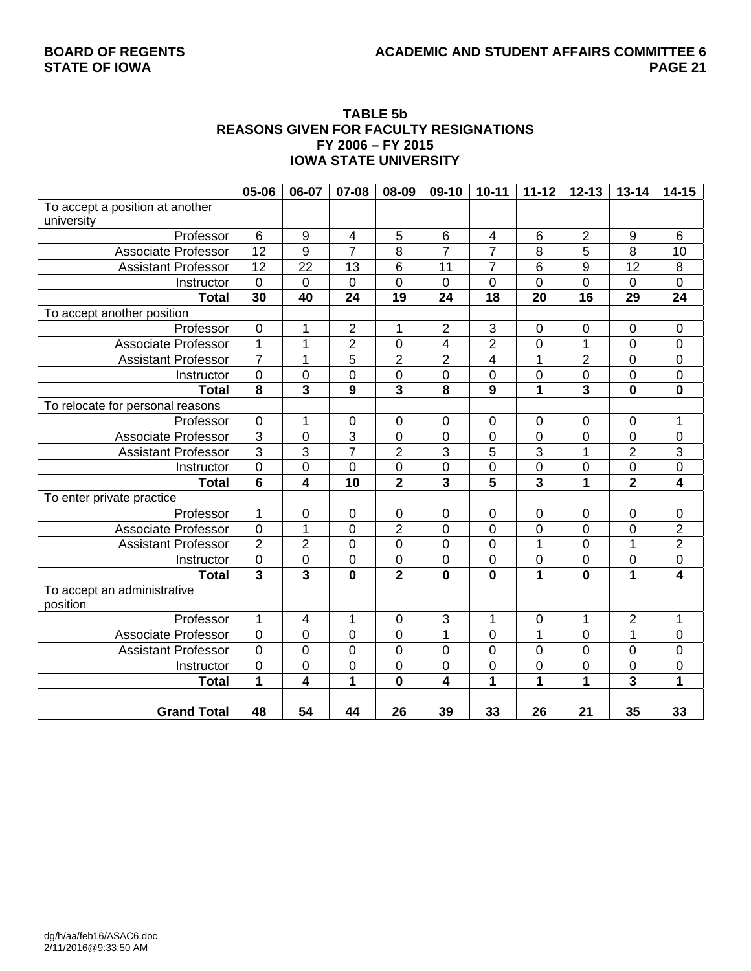## BOARD OF REGENTS **ACADEMIC AND STUDENT AFFAIRS COMMITTEE 6**<br>12 PAGE

#### **TABLE 5b REASONS GIVEN FOR FACULTY RESIGNATIONS FY 2006 – FY 2015 IOWA STATE UNIVERSITY**

|                                  | 05-06                   | 06-07                   | 07-08                   | 08-09                   | 09-10                   | $10 - 11$                | $11 - 12$               | $12 - 13$               | $13 - 14$               | $14 - 15$               |
|----------------------------------|-------------------------|-------------------------|-------------------------|-------------------------|-------------------------|--------------------------|-------------------------|-------------------------|-------------------------|-------------------------|
| To accept a position at another  |                         |                         |                         |                         |                         |                          |                         |                         |                         |                         |
| university                       |                         |                         |                         |                         |                         |                          |                         |                         |                         |                         |
| Professor                        | 6                       | 9                       | $\overline{4}$          | 5                       | $\,6$                   | $\overline{\mathcal{A}}$ | 6                       | $\overline{2}$          | $9\,$                   | 6                       |
| <b>Associate Professor</b>       | $\overline{12}$         | $\overline{9}$          | $\overline{7}$          | 8                       | $\overline{7}$          | $\overline{7}$           | 8                       | 5                       | $\overline{8}$          | $\overline{10}$         |
| <b>Assistant Professor</b>       | $\overline{12}$         | 22                      | 13                      | 6                       | 11                      | $\overline{7}$           | 6                       | 9                       | $\overline{12}$         | 8                       |
| Instructor                       | $\mathbf 0$             | 0                       | $\overline{0}$          | $\overline{0}$          | $\overline{0}$          | 0                        | $\overline{0}$          | 0                       | $\mathbf 0$             | 0                       |
| <b>Total</b>                     | $\overline{30}$         | 40                      | $\overline{24}$         | $\overline{19}$         | 24                      | 18                       | 20                      | $\overline{16}$         | $\overline{29}$         | $\overline{24}$         |
| To accept another position       |                         |                         |                         |                         |                         |                          |                         |                         |                         |                         |
| Professor                        | $\overline{0}$          | 1                       | $\overline{2}$          | 1                       | $\mathbf 2$             | $\overline{\omega}$      | $\boldsymbol{0}$        | $\pmb{0}$               | $\mathbf 0$             | $\boldsymbol{0}$        |
| <b>Associate Professor</b>       | $\mathbf{1}$            | $\mathbf 1$             | $\overline{2}$          | $\mathbf 0$             | $\overline{\mathbf{4}}$ | $\overline{2}$           | $\mathbf 0$             | 1                       | $\mathbf 0$             | $\mathbf 0$             |
| <b>Assistant Professor</b>       | $\overline{7}$          | $\overline{1}$          | $\overline{5}$          | $\overline{2}$          | $\overline{2}$          | 4                        | $\mathbf 1$             | $\overline{2}$          | $\mathbf 0$             | $\mathbf 0$             |
| Instructor                       | $\boldsymbol{0}$        | 0                       | $\mathbf 0$             | $\mathbf 0$             | $\mathbf 0$             | 0                        | $\mathbf 0$             | $\mathbf 0$             | $\mathbf 0$             | $\overline{0}$          |
| <b>Total</b>                     | $\overline{\mathbf{8}}$ | 3                       | 9                       | $\overline{\mathbf{3}}$ | 8                       | $\overline{9}$           | $\overline{\mathbf{1}}$ | 3                       | $\mathbf 0$             | $\bf{0}$                |
| To relocate for personal reasons |                         |                         |                         |                         |                         |                          |                         |                         |                         |                         |
| Professor                        | $\mathbf 0$             | 1                       | $\mathbf 0$             | $\mathbf 0$             | $\mathbf 0$             | 0                        | $\mathbf 0$             | $\mathbf 0$             | $\mathbf 0$             | 1                       |
| <b>Associate Professor</b>       | $\overline{3}$          | 0                       | $\overline{3}$          | $\mathsf 0$             | $\mathbf 0$             | $\mathbf 0$              | 0                       | 0                       | $\boldsymbol{0}$        | 0                       |
| <b>Assistant Professor</b>       | $\overline{3}$          | $\overline{3}$          | 7                       | $\overline{2}$          | 3                       | $\overline{5}$           | 3                       | 1                       | $\overline{2}$          | $\frac{3}{0}$           |
| Instructor                       | $\overline{0}$          | 0                       | $\mathbf 0$             | $\mathbf 0$             | $\mathbf 0$             | $\overline{0}$           | $\mathbf 0$             | $\mathbf 0$             | $\pmb{0}$               |                         |
| <b>Total</b>                     | $6\phantom{1}$          | 4                       | 10                      | $\overline{\mathbf{2}}$ | $\overline{\mathbf{3}}$ | 5                        | 3                       | 1                       | $\overline{2}$          | $\overline{\mathbf{4}}$ |
| To enter private practice        |                         |                         |                         |                         |                         |                          |                         |                         |                         |                         |
| Professor                        | 1                       | 0                       | $\pmb{0}$               | $\pmb{0}$               | $\mathbf 0$             | 0                        | $\mathbf 0$             | $\boldsymbol{0}$        | $\pmb{0}$               | 0                       |
| <b>Associate Professor</b>       | $\overline{0}$          | $\mathbf{1}$            | $\overline{0}$          | $\overline{2}$          | $\overline{0}$          | $\overline{0}$           | $\overline{0}$          | $\overline{0}$          | $\overline{0}$          |                         |
| <b>Assistant Professor</b>       | $\overline{2}$          | $\overline{2}$          | $\mathbf 0$             | $\mathsf 0$             | $\mathbf 0$             | $\boldsymbol{0}$         | 1                       | 0                       | 1                       | $\frac{2}{2}$           |
| Instructor                       | $\boldsymbol{0}$        | $\pmb{0}$               | $\boldsymbol{0}$        | $\pmb{0}$               | $\pmb{0}$               | $\boldsymbol{0}$         | $\mathbf 0$             | $\pmb{0}$               | $\mathbf 0$             | $\pmb{0}$               |
| <b>Total</b>                     | $\overline{\mathbf{3}}$ | $\overline{\mathbf{3}}$ | $\overline{\mathbf{0}}$ | $\overline{2}$          | $\mathbf 0$             | $\overline{\mathbf{0}}$  | $\overline{1}$          | $\overline{\mathbf{0}}$ | $\overline{1}$          | $\overline{4}$          |
| To accept an administrative      |                         |                         |                         |                         |                         |                          |                         |                         |                         |                         |
| position                         |                         |                         |                         |                         |                         |                          |                         |                         |                         |                         |
| Professor                        | $\mathbf{1}$            | $\overline{4}$          | 1                       | $\mathbf 0$             | 3                       | $\mathbf{1}$             | $\mathbf 0$             | 1                       | $\overline{2}$          | 1                       |
| Associate Professor              | $\overline{0}$          | 0                       | $\overline{0}$          | $\mathbf 0$             | 1                       | $\overline{0}$           | $\overline{1}$          | 0                       | $\mathbf{1}$            | 0                       |
| <b>Assistant Professor</b>       | $\overline{0}$          | 0                       | $\mathbf 0$             | $\mathsf 0$             | $\mathbf 0$             | $\overline{0}$           | $\mathbf 0$             | $\mathbf 0$             | $\mathbf 0$             | $\boldsymbol{0}$        |
| Instructor                       | $\mathbf 0$             | 0                       | $\mathbf 0$             | $\mathsf 0$             | $\mathbf 0$             | 0                        | $\mathbf 0$             | 0                       | $\mathbf 0$             | 0                       |
| <b>Total</b>                     | $\mathbf{1}$            | 4                       | 1                       | $\mathbf 0$             | 4                       | 1                        | $\overline{\mathbf{1}}$ | 1                       | $\overline{\mathbf{3}}$ | $\overline{1}$          |
|                                  |                         |                         |                         |                         |                         |                          |                         |                         |                         |                         |
| <b>Grand Total</b>               | 48                      | 54                      | 44                      | 26                      | 39                      | 33                       | 26                      | 21                      | 35                      | 33                      |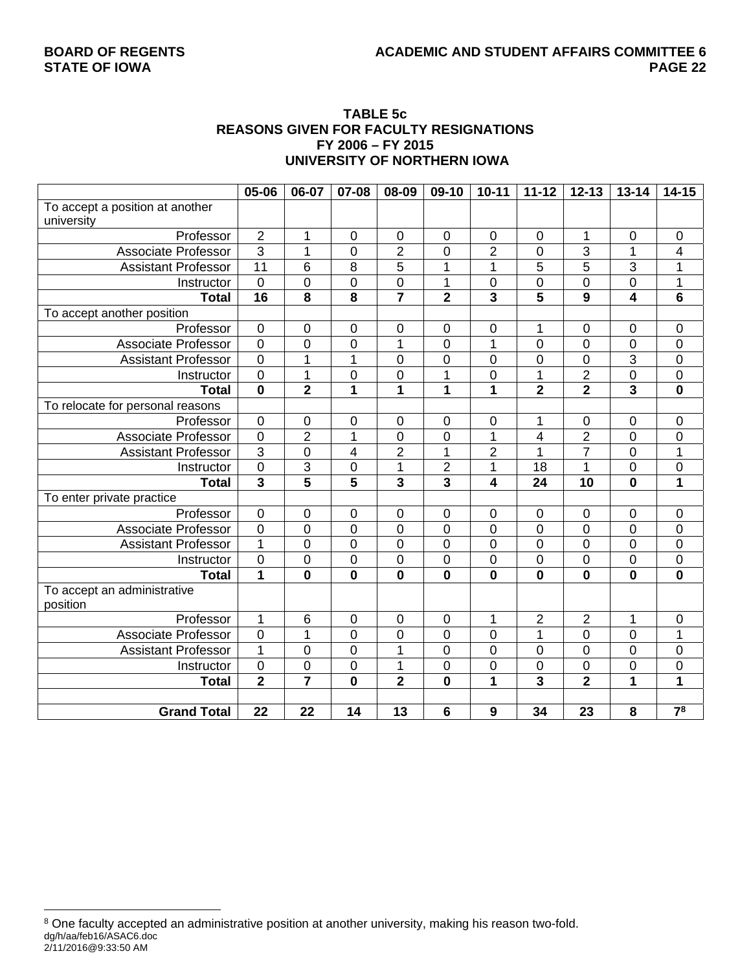#### **TABLE 5c REASONS GIVEN FOR FACULTY RESIGNATIONS FY 2006 – FY 2015 UNIVERSITY OF NORTHERN IOWA**

|                                  | 05-06                   | 06-07                   | 07-08                   | 08-09                   | 09-10                   | $10 - 11$               | $11 - 12$               | $12 - 13$               | $13 - 14$               | $14 - 15$               |
|----------------------------------|-------------------------|-------------------------|-------------------------|-------------------------|-------------------------|-------------------------|-------------------------|-------------------------|-------------------------|-------------------------|
| To accept a position at another  |                         |                         |                         |                         |                         |                         |                         |                         |                         |                         |
| university                       |                         |                         |                         |                         |                         |                         |                         |                         |                         |                         |
| Professor                        | $\overline{2}$          | 1                       | $\mathbf 0$             | $\pmb{0}$               | $\mathbf 0$             | $\mathbf 0$             | $\mathbf 0$             | $\mathbf{1}$            | $\mathbf 0$             | $\mathsf 0$             |
| <b>Associate Professor</b>       | $\overline{3}$          | 1                       | $\overline{0}$          | $\overline{2}$          | 0                       | $\overline{2}$          | 0                       | 3                       | 1                       | 4                       |
| <b>Assistant Professor</b>       | 11                      | 6                       | 8                       | $\overline{5}$          | 1                       | 1                       | 5                       | $\overline{5}$          | $\overline{3}$          | 1                       |
| Instructor                       | $\mathbf 0$             | 0                       | $\mathbf 0$             | $\boldsymbol{0}$        | 1                       | 0                       | $\mathbf 0$             | $\mathbf 0$             | $\mathbf 0$             | 1                       |
| <b>Total</b>                     | 16                      | $\overline{\mathbf{8}}$ | $\overline{\mathbf{8}}$ | $\overline{\mathbf{7}}$ | $\overline{2}$          | $\overline{\mathbf{3}}$ | $\overline{5}$          | $\overline{9}$          | $\overline{\mathbf{4}}$ | $\overline{6}$          |
| To accept another position       |                         |                         |                         |                         |                         |                         |                         |                         |                         |                         |
| Professor                        | $\overline{0}$          | $\pmb{0}$               | 0                       | $\pmb{0}$               | $\mathbf 0$             | 0                       | 1                       | $\mathbf 0$             | $\mathbf 0$             | $\mathsf 0$             |
| <b>Associate Professor</b>       | $\overline{0}$          | 0                       | $\mathbf 0$             | $\mathbf{1}$            | $\mathbf 0$             | 1                       | $\mathbf 0$             | $\overline{0}$          | $\overline{0}$          | $\mathbf 0$             |
| <b>Assistant Professor</b>       | $\overline{0}$          | $\mathbf 1$             | $\overline{1}$          | $\mathbf 0$             | 0                       | 0                       | $\mathbf 0$             | $\mathbf 0$             | $\overline{3}$          | $\mathbf 0$             |
| Instructor                       | $\overline{0}$          | $\overline{1}$          | 0                       | $\overline{0}$          | $\mathbf 1$             | 0                       | $\mathbf 1$             | $\overline{2}$          | $\mathbf 0$             | $\mathbf 0$             |
| <b>Total</b>                     | $\mathbf 0$             | $\overline{\mathbf{2}}$ | 1                       | 1                       | 1                       | 1                       | $\overline{\mathbf{2}}$ | $\overline{\mathbf{2}}$ | 3                       | $\mathbf 0$             |
| To relocate for personal reasons |                         |                         |                         |                         |                         |                         |                         |                         |                         |                         |
| Professor                        | $\pmb{0}$               | 0                       | $\mathbf 0$             | $\mathbf 0$             | $\pmb{0}$               | 0                       | 1                       | $\boldsymbol{0}$        | $\mathbf 0$             | $\mathbf 0$             |
| <b>Associate Professor</b>       | $\overline{0}$          | $\overline{2}$          | $\overline{1}$          | 0                       | 0                       | 1                       | 4                       | $\overline{2}$          | $\overline{0}$          | 0                       |
| <b>Assistant Professor</b>       | $\overline{3}$          | 0                       | 4                       | $\overline{2}$          | 1                       | $\overline{2}$          | 1                       | 7                       | $\mathbf 0$             | 1                       |
| Instructor                       | $\overline{0}$          | 3                       | 0                       | 1                       | $\overline{2}$          | 1                       | 18                      | 1                       | $\overline{0}$          | $\mathbf 0$             |
| <b>Total</b>                     | $\overline{\mathbf{3}}$ | $\overline{\mathbf{5}}$ | $\overline{\mathbf{5}}$ | $\overline{\mathbf{3}}$ | $\overline{\mathbf{3}}$ | 4                       | 24                      | 10                      | $\mathbf 0$             | 1                       |
| To enter private practice        |                         |                         |                         |                         |                         |                         |                         |                         |                         |                         |
| Professor                        | $\pmb{0}$               | $\mathbf 0$             | 0                       | $\pmb{0}$               | 0                       | $\pmb{0}$               | $\mathbf 0$             | $\pmb{0}$               | $\mathbf 0$             | $\boldsymbol{0}$        |
| <b>Associate Professor</b>       | $\overline{0}$          | 0                       | $\overline{0}$          | $\mathbf 0$             | $\mathbf 0$             | $\overline{0}$          | $\mathbf 0$             | $\overline{0}$          | $\overline{0}$          | $\mathbf 0$             |
| <b>Assistant Professor</b>       | $\mathbf{1}$            | 0                       | $\mathbf 0$             | 0                       | $\pmb{0}$               | 0                       | $\mathbf 0$             | $\mathbf 0$             | $\mathbf 0$             | $\mathsf 0$             |
| Instructor                       | $\boldsymbol{0}$        | $\boldsymbol{0}$        | $\boldsymbol{0}$        | $\pmb{0}$               | $\pmb{0}$               | 0                       | $\boldsymbol{0}$        | $\boldsymbol{0}$        | $\mathbf 0$             | $\mathbf 0$             |
| <b>Total</b>                     | $\overline{1}$          | $\mathbf 0$             | $\overline{\mathbf{0}}$ | $\mathbf 0$             | $\mathbf 0$             | $\mathbf 0$             | $\mathbf 0$             | $\overline{\mathbf{0}}$ | $\overline{\mathbf{0}}$ | $\overline{\mathbf{0}}$ |
| To accept an administrative      |                         |                         |                         |                         |                         |                         |                         |                         |                         |                         |
| position                         |                         |                         |                         |                         |                         |                         |                         |                         |                         |                         |
| Professor                        | $\mathbf{1}$            | 6                       | 0                       | $\pmb{0}$               | $\boldsymbol{0}$        | 1                       | $\overline{2}$          | $\overline{2}$          | $\mathbf{1}$            | $\mathsf 0$             |
| <b>Associate Professor</b>       | $\overline{0}$          | $\overline{1}$          | $\overline{0}$          | $\overline{0}$          | $\mathbf 0$             | $\overline{0}$          | $\overline{1}$          | $\overline{0}$          | $\overline{0}$          | 1                       |
| <b>Assistant Professor</b>       | 1                       | 0                       | $\mathbf 0$             | $\overline{1}$          | $\overline{0}$          | 0                       | $\overline{0}$          | $\overline{0}$          | $\overline{0}$          | $\mathbf 0$             |
| Instructor                       | $\mathbf 0$             | 0                       | $\mathbf 0$             | $\mathbf{1}$            | $\mathbf 0$             | $\mathbf 0$             | $\mathbf 0$             | $\mathbf 0$             | $\overline{0}$          | $\boldsymbol{0}$        |
| <b>Total</b>                     | $\overline{2}$          | $\overline{7}$          | $\mathbf 0$             | $\overline{\mathbf{2}}$ | $\mathbf 0$             | 1                       | 3                       | $\overline{\mathbf{2}}$ | 1                       | $\mathbf{1}$            |
|                                  |                         |                         |                         |                         |                         |                         |                         |                         |                         |                         |
| <b>Grand Total</b>               | 22                      | 22                      | 14                      | 13                      | 6                       | $\boldsymbol{9}$        | 34                      | 23                      | 8                       | 7 <sup>8</sup>          |

dg/h/aa/feb16/ASAC6.doc 2/11/2016@9:33:50 AM  $\overline{a}$ <sup>8</sup> One faculty accepted an administrative position at another university, making his reason two-fold.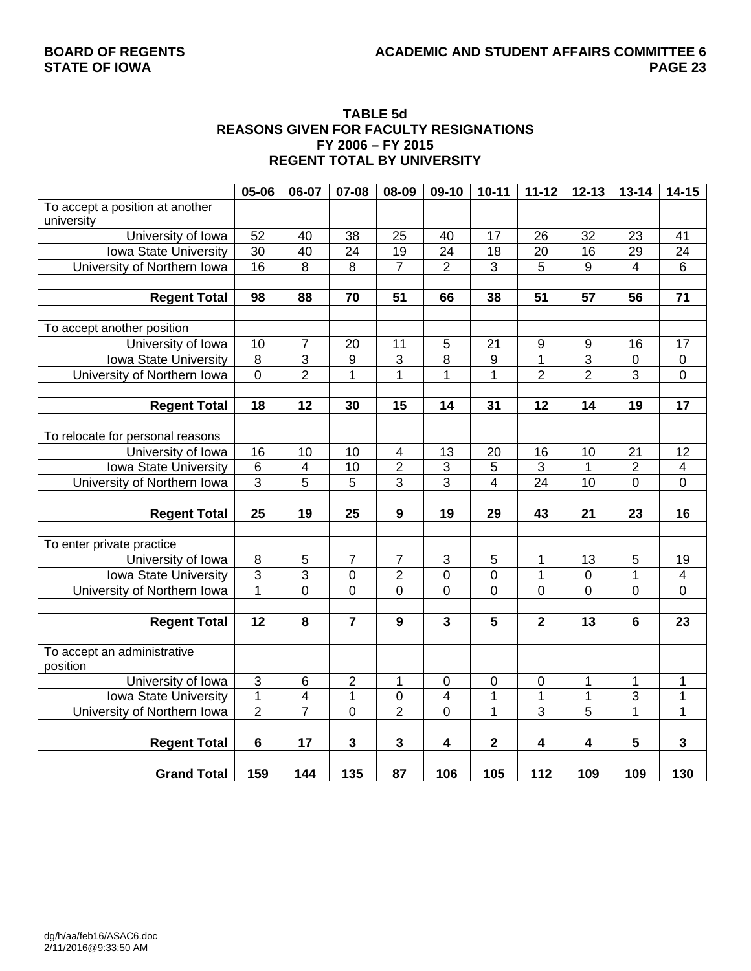#### **TABLE 5d REASONS GIVEN FOR FACULTY RESIGNATIONS FY 2006 – FY 2015 REGENT TOTAL BY UNIVERSITY**

|                                  | 05-06           | 06-07                   | 07-08                   | 08-09                   | 09-10                     | $10 - 11$      | $11 - 12$      | $12 - 13$      | $13 - 14$               | $14 - 15$               |
|----------------------------------|-----------------|-------------------------|-------------------------|-------------------------|---------------------------|----------------|----------------|----------------|-------------------------|-------------------------|
| To accept a position at another  |                 |                         |                         |                         |                           |                |                |                |                         |                         |
| university                       |                 |                         |                         |                         |                           |                |                |                |                         |                         |
| University of Iowa               | $\overline{52}$ | 40                      | 38                      | 25                      | 40                        | 17             | 26             | 32             | 23                      | 41                      |
| Iowa State University            | $\overline{30}$ | 40                      | 24                      | 19                      | 24                        | 18             | 20             | 16             | 29                      | 24                      |
| University of Northern Iowa      | 16              | $\overline{8}$          | $\overline{8}$          | $\overline{7}$          | $\overline{2}$            | $\overline{3}$ | 5              | 9              | $\overline{\mathbf{4}}$ | 6                       |
|                                  |                 |                         |                         |                         |                           |                |                |                |                         |                         |
| <b>Regent Total</b>              | 98              | 88                      | 70                      | 51                      | 66                        | 38             | 51             | 57             | 56                      | $\overline{71}$         |
|                                  |                 |                         |                         |                         |                           |                |                |                |                         |                         |
| To accept another position       |                 |                         |                         |                         |                           |                |                |                |                         |                         |
| University of Iowa               | 10              | 7                       | 20                      | 11                      | 5                         | 21             | 9              | 9              | 16                      | 17                      |
| Iowa State University            | $\overline{8}$  | $\overline{3}$          | $\overline{9}$          | $\overline{3}$          | $\overline{8}$            | 9              | 1              | $\overline{3}$ | $\pmb{0}$               | $\pmb{0}$               |
| University of Northern Iowa      | $\overline{0}$  | $\overline{2}$          | $\overline{1}$          | $\mathbf{1}$            | $\mathbf 1$               | $\overline{1}$ | $\overline{2}$ | $\overline{2}$ | 3                       | $\overline{0}$          |
|                                  |                 |                         |                         |                         |                           |                |                |                |                         |                         |
| <b>Regent Total</b>              | 18              | 12                      | 30                      | 15                      | 14                        | 31             | 12             | 14             | 19                      | 17                      |
|                                  |                 |                         |                         |                         |                           |                |                |                |                         |                         |
| To relocate for personal reasons |                 |                         |                         |                         |                           |                |                |                |                         |                         |
| University of Iowa               | 16              | 10                      | 10                      | 4                       | 13                        | 20             | 16             | 10             | 21                      | 12                      |
| Iowa State University            | $\,6$           | $\overline{\mathbf{4}}$ | 10                      | $\overline{2}$          | $\ensuremath{\mathsf{3}}$ | 5              | 3              | 1              | $\overline{2}$          | $\overline{\mathbf{4}}$ |
| University of Northern Iowa      | $\overline{3}$  | $\overline{5}$          | $\overline{5}$          | $\overline{3}$          | $\overline{3}$            | $\overline{4}$ | 24             | 10             | $\overline{0}$          | $\overline{0}$          |
|                                  |                 |                         |                         |                         |                           |                |                |                |                         |                         |
| <b>Regent Total</b>              | 25              | 19                      | 25                      | $\boldsymbol{9}$        | 19                        | 29             | 43             | 21             | 23                      | 16                      |
|                                  |                 |                         |                         |                         |                           |                |                |                |                         |                         |
| To enter private practice        |                 |                         |                         |                         |                           |                |                |                |                         |                         |
| University of Iowa               | $\overline{8}$  | 5                       | $\overline{7}$          | $\overline{7}$          | $\ensuremath{\mathsf{3}}$ | 5              | 1              | 13             | 5                       | 19                      |
| Iowa State University            | $\overline{3}$  | $\overline{3}$          | $\overline{0}$          | $\overline{2}$          | $\overline{0}$            | $\mathbf 0$    | 1              | $\mathbf 0$    | $\mathbf{1}$            | $\overline{4}$          |
| University of Northern Iowa      | $\overline{1}$  | $\overline{0}$          | $\overline{0}$          | $\overline{0}$          | $\overline{0}$            | $\overline{0}$ | $\overline{0}$ | $\overline{0}$ | $\overline{0}$          | $\overline{0}$          |
|                                  |                 |                         |                         |                         |                           |                |                |                |                         |                         |
| <b>Regent Total</b>              | $\overline{12}$ | 8                       | $\overline{7}$          | 9                       | $\overline{\mathbf{3}}$   | 5              | $\overline{2}$ | 13             | 6                       | 23                      |
|                                  |                 |                         |                         |                         |                           |                |                |                |                         |                         |
| To accept an administrative      |                 |                         |                         |                         |                           |                |                |                |                         |                         |
| position                         |                 |                         |                         |                         |                           |                |                |                |                         |                         |
| University of Iowa               | $\mathbf{3}$    | 6                       | $\overline{2}$          | 1                       | $\mathbf 0$               | $\mathbf 0$    | 0              | 1              | 1                       | 1                       |
| Iowa State University            | $\overline{1}$  | 4                       | 1                       | $\pmb{0}$               | 4                         | 1              | 1              | 1              | $\overline{3}$          | 1                       |
| University of Northern Iowa      | $\overline{2}$  | $\overline{7}$          | $\overline{0}$          | $\overline{2}$          | $\overline{0}$            | $\mathbf{1}$   | $\overline{3}$ | $\overline{5}$ | $\overline{1}$          | $\overline{1}$          |
|                                  |                 |                         |                         |                         |                           |                |                |                |                         |                         |
| <b>Regent Total</b>              | $\overline{6}$  | $\overline{17}$         | $\overline{\mathbf{3}}$ | $\overline{\mathbf{3}}$ | $\overline{\mathbf{4}}$   | $\overline{2}$ | 4              | 4              | 5                       | $\overline{\mathbf{3}}$ |
|                                  |                 |                         |                         |                         |                           |                |                |                |                         |                         |
| <b>Grand Total</b>               | 159             | 144                     | 135                     | 87                      | 106                       | 105            | 112            | 109            | 109                     | 130                     |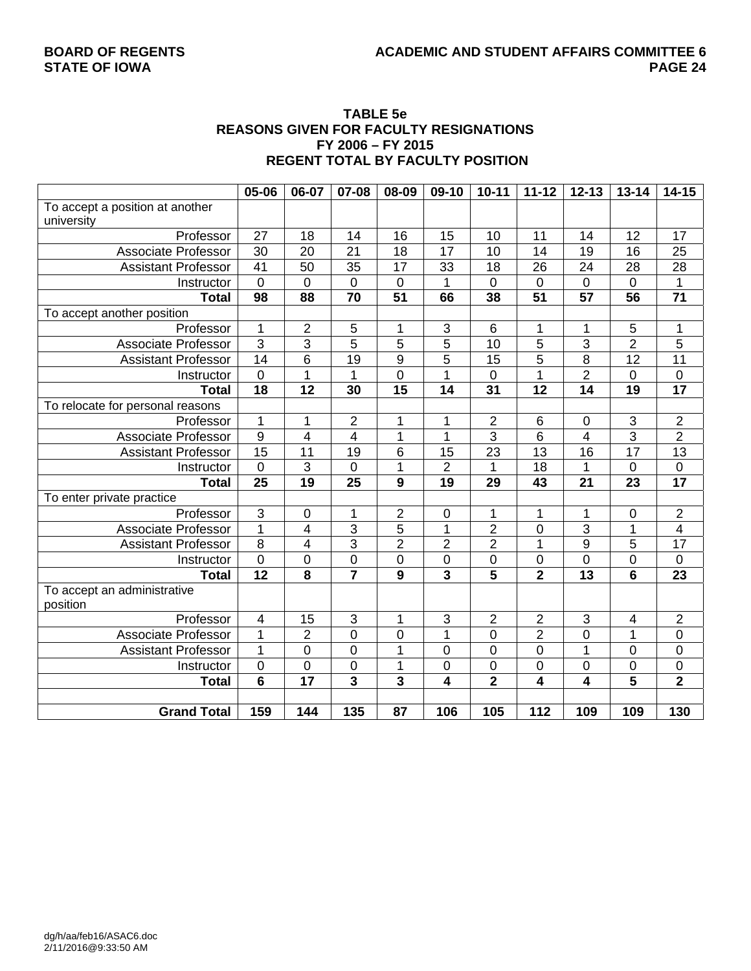#### **TABLE 5e REASONS GIVEN FOR FACULTY RESIGNATIONS FY 2006 – FY 2015 REGENT TOTAL BY FACULTY POSITION**

|                                  | 05-06           | 06-07                   | 07-08                   | 08-09                   | 09-10                   | $10 - 11$       | $11 - 12$               | $12 - 13$        | $13 - 14$               | $14 - 15$               |
|----------------------------------|-----------------|-------------------------|-------------------------|-------------------------|-------------------------|-----------------|-------------------------|------------------|-------------------------|-------------------------|
| To accept a position at another  |                 |                         |                         |                         |                         |                 |                         |                  |                         |                         |
| university                       |                 |                         |                         |                         |                         |                 |                         |                  |                         |                         |
| Professor                        | 27              | 18                      | 14                      | 16                      | 15                      | 10              | 11                      | 14               | 12                      | 17                      |
| <b>Associate Professor</b>       | 30              | 20                      | $\overline{21}$         | 18                      | 17                      | 10              | 14                      | 19               | 16                      | 25                      |
| <b>Assistant Professor</b>       | $\overline{41}$ | 50                      | $\overline{35}$         | $\overline{17}$         | 33                      | 18              | 26                      | $\overline{24}$  | 28                      | $\overline{28}$         |
| Instructor                       | $\mathbf 0$     | 0                       | $\mathbf 0$             | $\mathbf 0$             | 1                       | 0               | $\overline{0}$          | $\overline{0}$   | $\overline{0}$          | 1                       |
| <b>Total</b>                     | 98              | 88                      | $\overline{70}$         | $\overline{51}$         | 66                      | 38              | $\overline{51}$         | $\overline{57}$  | $\overline{56}$         | $\overline{71}$         |
| To accept another position       |                 |                         |                         |                         |                         |                 |                         |                  |                         |                         |
| Professor                        | 1               | $\overline{2}$          | 5                       | 1                       | 3                       | 6               | 1                       | 1                | 5                       | 1                       |
| <b>Associate Professor</b>       | $\overline{3}$  | 3                       | 5                       | 5                       | 5                       | 10              | 5                       | 3                | $\overline{2}$          | 5                       |
| <b>Assistant Professor</b>       | 14              | 6                       | 19                      | 9                       | 5                       | 15              | 5                       | 8                | 12                      | 11                      |
| Instructor                       | $\mathbf 0$     | $\overline{1}$          | 1                       | $\mathbf 0$             | 1                       | 0               | 1                       | $\overline{2}$   | $\mathbf 0$             | $\mathsf 0$             |
| <b>Total</b>                     | $\overline{18}$ | $\overline{12}$         | 30                      | $\overline{15}$         | 14                      | $\overline{31}$ | $\overline{12}$         | $\overline{14}$  | $\overline{19}$         | $\overline{17}$         |
| To relocate for personal reasons |                 |                         |                         |                         |                         |                 |                         |                  |                         |                         |
| Professor                        | 1               | 1                       | 2                       | 1                       | 1                       | 2               | 6                       | $\boldsymbol{0}$ | 3                       | $\mathbf 2$             |
| <b>Associate Professor</b>       | 9               | $\overline{\mathbf{4}}$ | 4                       | 1                       | 1                       | $\overline{3}$  | $\overline{6}$          | 4                | $\overline{3}$          | $\overline{2}$          |
| <b>Assistant Professor</b>       | $\overline{15}$ | 11                      | 19                      | $\,6$                   | 15                      | 23              | 13                      | 16               | 17                      | $\overline{13}$         |
| Instructor                       | $\overline{0}$  | 3                       | 0                       | $\overline{1}$          | $\overline{2}$          | 1               | 18                      | $\overline{1}$   | $\overline{0}$          | $\mathsf 0$             |
| <b>Total</b>                     | 25              | 19                      | 25                      | 9                       | 19                      | 29              | 43                      | 21               | 23                      | 17                      |
| To enter private practice        |                 |                         |                         |                         |                         |                 |                         |                  |                         |                         |
| Professor                        | $\overline{3}$  | $\boldsymbol{0}$        | 1                       | $\mathbf 2$             | $\pmb{0}$               | 1               | 1                       | 1                | $\mathbf 0$             | $\overline{c}$          |
| <b>Associate Professor</b>       | $\overline{1}$  | $\overline{4}$          | 3                       | $\overline{5}$          | $\mathbf 1$             | $\overline{2}$  | $\mathbf 0$             | $\overline{3}$   | $\mathbf{1}$            | $\overline{\mathbf{4}}$ |
| <b>Assistant Professor</b>       | 8               | 4                       | $\overline{3}$          | $\overline{2}$          | $\overline{2}$          | $\overline{2}$  | 1                       | $\boldsymbol{9}$ | 5                       | 17                      |
| Instructor                       | $\mathbf 0$     | 0                       | $\boldsymbol{0}$        | $\pmb{0}$               | $\pmb{0}$               | $\mathbf 0$     | $\pmb{0}$               | $\boldsymbol{0}$ | $\mathbf 0$             | $\mathbf 0$             |
| <b>Total</b>                     | $\overline{12}$ | 8                       | $\overline{\mathbf{7}}$ | $\boldsymbol{9}$        | $\overline{\mathbf{3}}$ | 5               | $\overline{\mathbf{2}}$ | 13               | $6\phantom{1}6$         | 23                      |
| To accept an administrative      |                 |                         |                         |                         |                         |                 |                         |                  |                         |                         |
| position                         |                 |                         |                         |                         |                         |                 |                         |                  |                         |                         |
| Professor                        | $\overline{4}$  | 15                      | 3                       | 1                       | 3                       | $\overline{2}$  | $\overline{2}$          | 3                | $\overline{4}$          | $\overline{2}$          |
| Associate Professor              | 1               | $\overline{2}$          | $\mathbf 0$             | 0                       | 1                       | $\overline{0}$  | $\overline{2}$          | $\mathbf 0$      | $\overline{1}$          | $\mathbf 0$             |
| <b>Assistant Professor</b>       | $\overline{1}$  | $\overline{0}$          | $\overline{0}$          | $\overline{1}$          | $\overline{0}$          | $\overline{0}$  | $\overline{0}$          | $\overline{1}$   | $\overline{0}$          | $\overline{0}$          |
| Instructor                       | $\pmb{0}$       | $\boldsymbol{0}$        | $\mathbf 0$             | 1                       | 0                       | 0               | 0                       | $\boldsymbol{0}$ | 0                       | $\mathsf{O}\xspace$     |
| <b>Total</b>                     | 6               | $\overline{17}$         | 3                       | $\overline{\mathbf{3}}$ | 4                       | $\overline{2}$  | 4                       | 4                | $\overline{\mathbf{5}}$ | $\overline{\mathbf{2}}$ |
|                                  |                 |                         |                         |                         |                         |                 |                         |                  |                         |                         |
| <b>Grand Total</b>               | 159             | 144                     | $\overline{135}$        | 87                      | 106                     | 105             | 112                     | 109              | 109                     | 130                     |